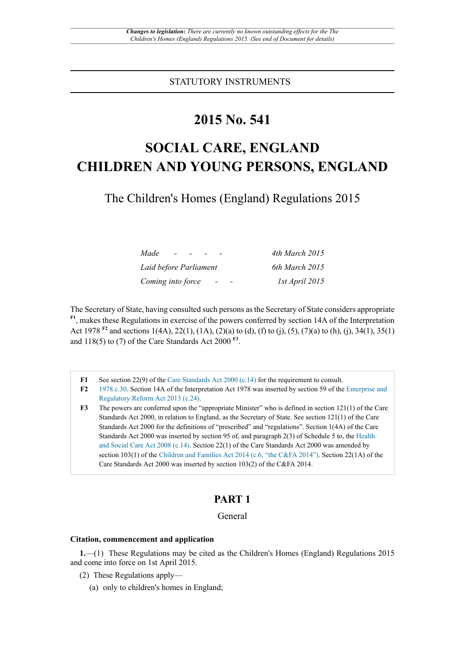STATUTORY INSTRUMENTS

## **2015 No. 541**

# **SOCIAL CARE, ENGLAND CHILDREN AND YOUNG PERSONS, ENGLAND**

The Children's Homes (England) Regulations 2015

| Made<br>$\sim$ $-$<br>$\sim$                  | 4th March 2015 |
|-----------------------------------------------|----------------|
| Laid before Parliament                        | 6th March 2015 |
| Coming into force<br>$\overline{\phantom{0}}$ | 1st April 2015 |

The Secretary of State, having consulted such persons as the Secretary of State considers appropriate **F1**, makes these Regulations in exercise of the powers conferred by section 14A of the Interpretation Act 1978 <sup>F2</sup> and sections 1(4A), 22(1), (1A), (2)(a) to (d), (f) to (j), (5), (7)(a) to (h), (j), 34(1), 35(1) and  $118(5)$  to (7) of the Care Standards Act 2000<sup>F3</sup>.

**F1** See section 22(9) of the Care Standards Act 2000 (c.14) for the requirement to consult.

- **F2** 1978 c.30. Section 14A of the Interpretation Act 1978 was inserted by section 59 of the Enterprise and Regulatory Reform Act 2013 (c.24).
- **F3** The powers are conferred upon the "appropriate Minister" who is defined in section 121(1) of the Care Standards Act 2000, in relation to England, as the Secretary of State. See section 121(1) of the Care Standards Act 2000 for the definitions of "prescribed" and "regulations". Section 1(4A) of the Care Standards Act 2000 was inserted by section 95 of, and paragraph 2(3) of Schedule 5 to, the Health and Social Care Act 2008 (c.14). Section 22(1) of the Care Standards Act 2000 was amended by section 103(1) of the Children and Families Act 2014 (c.6, "the C&FA 2014"). Section 22(1A) of the Care Standards Act 2000 was inserted by section 103(2) of the C&FA 2014.

### **PART 1**

#### General

#### **Citation, commencement and application**

**1.**—(1) These Regulations may be cited as the Children's Homes (England) Regulations 2015 and come into force on 1st April 2015.

- (2) These Regulations apply—
	- (a) only to children's homes in England;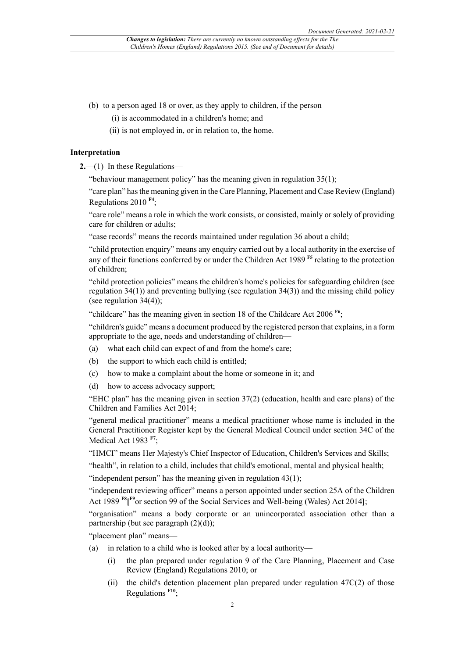- (b) to a person aged 18 or over, as they apply to children, if the person—
	- (i) is accommodated in a children's home; and
	- (ii) is not employed in, or in relation to, the home.

#### **Interpretation**

**2.**—(1) In these Regulations—

"behaviour management policy" has the meaning given in regulation 35(1);

"care plan" has the meaning given in the Care Planning, Placement and Case Review (England) Regulations 2010 **F4**;

"care role" means a role in which the work consists, or consisted, mainly or solely of providing care for children or adults;

"case records" means the records maintained under regulation 36 about a child;

"child protection enquiry" means any enquiry carried out by a local authority in the exercise of any of their functions conferred by or under the Children Act 1989 **F5** relating to the protection of children;

"child protection policies" means the children's home's policies for safeguarding children (see regulation 34(1)) and preventing bullying (see regulation 34(3)) and the missing child policy (see regulation  $34(4)$ );

"childcare" has the meaning given in section 18 of the Childcare Act 2006 **F6**;

"children's guide" means a document produced by the registered person that explains, in a form appropriate to the age, needs and understanding of children—

- (a) what each child can expect of and from the home's care;
- (b) the support to which each child is entitled;
- (c) how to make a complaint about the home or someone in it; and
- (d) how to access advocacy support;

"EHC plan" has the meaning given in section 37(2) (education, health and care plans) of the Children and Families Act 2014;

"general medical practitioner" means a medical practitioner whose name is included in the General Practitioner Register kept by the General Medical Council under section 34C of the Medical Act 1983 **F7**;

"HMCI" means Her Majesty's Chief Inspector of Education, Children's Services and Skills;

"health", in relation to a child, includes that child's emotional, mental and physical health;

"independent person" has the meaning given in regulation  $43(1)$ ;

"independent reviewing officer" means a person appointed under section 25A of the Children Act 1989 **F8[ F9**or section 99 of the Social Services and Well-being (Wales) Act 2014**]**;

"organisation" means a body corporate or an unincorporated association other than a partnership (but see paragraph (2)(d));

"placement plan" means—

- (a) in relation to a child who is looked after by a local authority—
	- (i) the plan prepared under regulation 9 of the Care Planning, Placement and Case Review (England) Regulations 2010; or
	- (ii) the child's detention placement plan prepared under regulation 47C(2) of those Regulations **F10**;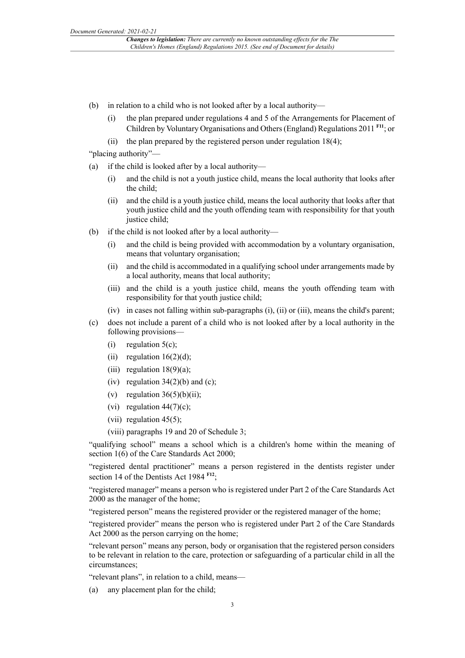- (b) in relation to a child who is not looked after by a local authority—
	- (i) the plan prepared under regulations 4 and 5 of the Arrangements for Placement of Children by Voluntary Organisations and Others (England) Regulations 2011 <sup>F11</sup>; or
	- (ii) the plan prepared by the registered person under regulation  $18(4)$ ;

"placing authority"—

- (a) if the child is looked after by a local authority—
	- (i) and the child is not a youth justice child, means the local authority that looks after the child;
	- (ii) and the child is a youth justice child, means the local authority that looks after that youth justice child and the youth offending team with responsibility for that youth justice child;
- (b) if the child is not looked after by a local authority—
	- (i) and the child is being provided with accommodation by a voluntary organisation, means that voluntary organisation;
	- (ii) and the child is accommodated in a qualifying school under arrangements made by a local authority, means that local authority;
	- (iii) and the child is a youth justice child, means the youth offending team with responsibility for that youth justice child;
	- (iv) in cases not falling within sub-paragraphs (i), (ii) or (iii), means the child's parent;
- (c) does not include a parent of a child who is not looked after by a local authority in the following provisions—
	- (i) regulation  $5(c)$ ;
	- (ii) regulation  $16(2)(d)$ ;
	- (iii) regulation  $18(9)(a)$ ;
	- (iv) regulation  $34(2)(b)$  and (c);
	- (v) regulation  $36(5)(b)(ii)$ ;
	- (vi) regulation  $44(7)(c)$ ;
	- (vii) regulation  $45(5)$ ;
	- (viii) paragraphs 19 and 20 of Schedule 3;

"qualifying school" means a school which is a children's home within the meaning of section 1(6) of the Care Standards Act 2000;

"registered dental practitioner" means a person registered in the dentists register under section 14 of the Dentists Act 1984<sup>F12</sup>;

"registered manager" means a person who is registered under Part 2 of the Care Standards Act 2000 as the manager of the home;

"registered person" means the registered provider or the registered manager of the home;

"registered provider" means the person who is registered under Part 2 of the Care Standards Act 2000 as the person carrying on the home;

"relevant person" means any person, body or organisation that the registered person considers to be relevant in relation to the care, protection or safeguarding of a particular child in all the circumstances;

"relevant plans", in relation to a child, means—

any placement plan for the child;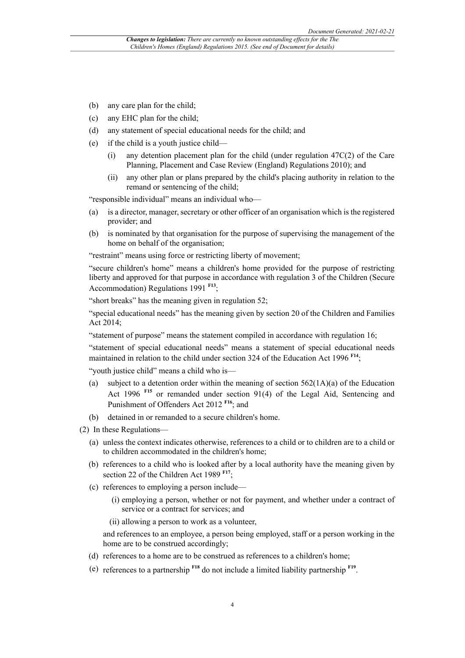- (b) any care plan for the child;
- (c) any EHC plan for the child;
- (d) any statement of special educational needs for the child; and
- (e) if the child is a youth justice child—
	- (i) any detention placement plan for the child (under regulation  $47C(2)$  of the Care Planning, Placement and Case Review (England) Regulations 2010); and
	- (ii) any other plan or plans prepared by the child's placing authority in relation to the remand or sentencing of the child;

"responsible individual" means an individual who—

- (a) is a director, manager, secretary or other officer of an organisation which is the registered provider; and
- (b) is nominated by that organisation for the purpose of supervising the management of the home on behalf of the organisation;

"restraint" means using force or restricting liberty of movement;

"secure children's home" means a children's home provided for the purpose of restricting liberty and approved for that purpose in accordance with regulation 3 of the Children (Secure Accommodation) Regulations 1991 **F13**;

"short breaks" has the meaning given in regulation 52;

"special educational needs" has the meaning given by section 20 of the Children and Families Act 2014;

"statement of purpose" means the statement compiled in accordance with regulation 16;

"statement of special educational needs" means a statement of special educational needs maintained in relation to the child under section 324 of the Education Act 1996 **F14**;

"youth justice child" means a child who is—

- (a) subject to a detention order within the meaning of section  $562(1A)(a)$  of the Education Act 1996 **F15** or remanded under section 91(4) of the Legal Aid, Sentencing and Punishment of Offenders Act 2012 **F16**; and
- (b) detained in or remanded to a secure children's home.
- (2) In these Regulations—
	- (a) unless the context indicates otherwise, references to a child or to children are to a child or to children accommodated in the children's home;
	- (b) references to a child who is looked after by a local authority have the meaning given by section 22 of the Children Act 1989 <sup>F17</sup>;
	- (c) references to employing a person include—
		- (i) employing a person, whether or not for payment, and whether under a contract of service or a contract for services; and
		- (ii) allowing a person to work as a volunteer,

and references to an employee, a person being employed, staff or a person working in the home are to be construed accordingly;

- (d) references to a home are to be construed as references to a children's home;
- (e) references to a partnership **F18** do not include a limited liability partnership **F19** .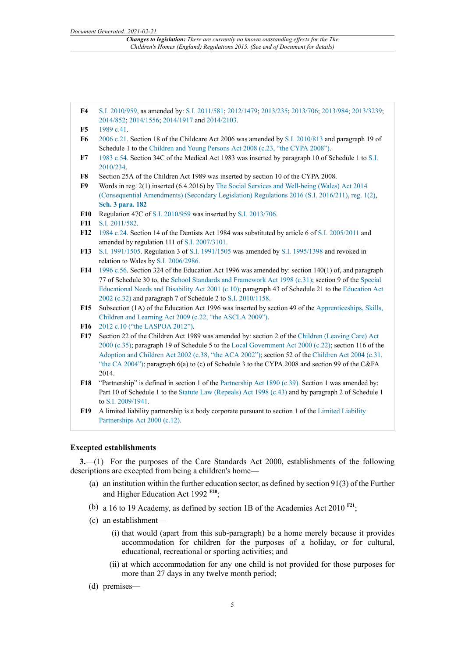- **F4** S.I. 2010/959, as amended by: S.I. 2011/581; 2012/1479; 2013/235; 2013/706; 2013/984; 2013/3239; 2014/852; 2014/1556; 2014/1917 and 2014/2103.
- **F5** 1989 c.41.
- **F6** 2006 c.21. Section 18 of the Childcare Act 2006 was amended by S.I. 2010/813 and paragraph 19 of Schedule 1 to the Children and Young Persons Act 2008 (c.23, "the CYPA 2008").
- **F7** 1983 c.54. Section 34C of the Medical Act 1983 was inserted by paragraph 10 of Schedule 1 to S.I. 2010/234.
- **F8** Section 25A of the Children Act 1989 was inserted by section 10 of the CYPA 2008.
- **F9** Words in reg. 2(1) inserted (6.4.2016) by The Social Services and Well-being (Wales) Act 2014 (Consequential Amendments) (Secondary Legislation) Regulations 2016 (S.I. 2016/211), reg. 1(2), **Sch. 3 para. 182**
- **F10** Regulation 47C of S.I. 2010/959 was inserted by S.I. 2013/706.
- **F11** S.I. 2011/582.
- **F12** 1984 c.24. Section 14 of the Dentists Act 1984 was substituted by article 6 of S.I. 2005/2011 and amended by regulation 111 of S.I. 2007/3101.
- **F13** S.I. 1991/1505. Regulation 3 of S.I. 1991/1505 was amended by S.I. 1995/1398 and revoked in relation to Wales by S.I. 2006/2986.
- **F14** 1996 c.56. Section 324 of the Education Act 1996 was amended by: section 140(1) of, and paragraph 77 of Schedule 30 to, the School Standards and Framework Act 1998 (c.31); section 9 of the Special Educational Needs and Disability Act 2001 (c.10); paragraph 43 of Schedule 21 to the Education Act 2002 (c.32) and paragraph 7 of Schedule 2 to S.I. 2010/1158.
- **F15** Subsection (1A) of the Education Act 1996 was inserted by section 49 of the Apprenticeships, Skills, Children and Learning Act 2009 (c.22, "the ASCLA 2009").
- **F16** 2012 c.10 ("the LASPOA 2012").
- **F17** Section 22 of the Children Act 1989 was amended by: section 2 of the Children (Leaving Care) Act 2000 (c.35); paragraph 19 of Schedule 5 to the Local Government Act 2000 (c.22); section 116 of the Adoption and Children Act 2002 (c.38, "the ACA 2002"); section 52 of the Children Act 2004 (c.31, "the CA 2004"); paragraph 6(a) to (c) of Schedule 3 to the CYPA 2008 and section 99 of the C&FA 2014.
- **F18** "Partnership" is defined in section 1 of the Partnership Act 1890 (c.39). Section 1 was amended by: Part 10 of Schedule 1 to the Statute Law (Repeals) Act 1998 (c.43) and by paragraph 2 of Schedule 1 to S.I. 2009/1941.
- **F19** A limited liability partnership is a body corporate pursuant to section 1 of the Limited Liability Partnerships Act 2000 (c.12).

#### **Excepted establishments**

**3.**—(1) For the purposes of the Care Standards Act 2000, establishments of the following descriptions are excepted from being a children's home—

- (a) an institution within the further education sector, as defined by section 91(3) of the Further and Higher Education Act 1992 **F20**;
- (b) a 16 to 19 Academy, as defined by section 1B of the Academies Act 2010<sup>F21</sup>;
- (c) an establishment—
	- (i) that would (apart from this sub-paragraph) be a home merely because it provides accommodation for children for the purposes of a holiday, or for cultural, educational, recreational or sporting activities; and
	- (ii) at which accommodation for any one child is not provided for those purposes for more than 27 days in any twelve month period;
- (d) premises—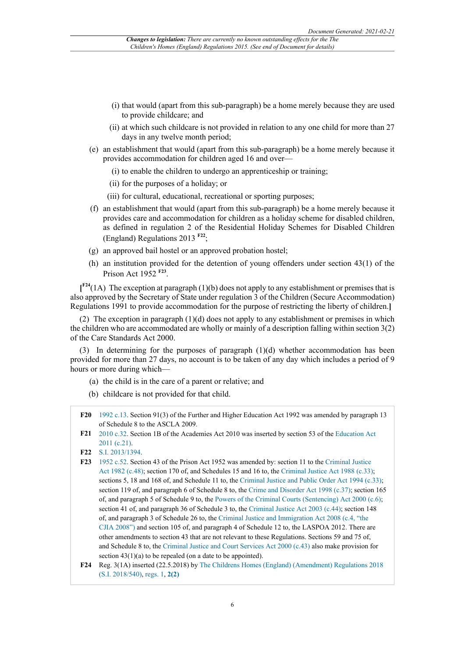- (i) that would (apart from this sub-paragraph) be a home merely because they are used to provide childcare; and
- (ii) at which such childcare is not provided in relation to any one child for more than 27 days in any twelve month period;
- (e) an establishment that would (apart from this sub-paragraph) be a home merely because it provides accommodation for children aged 16 and over—
	- (i) to enable the children to undergo an apprenticeship or training;
	- (ii) for the purposes of a holiday; or
	- (iii) for cultural, educational, recreational or sporting purposes;
- (f) an establishment that would (apart from this sub-paragraph) be a home merely because it provides care and accommodation for children as a holiday scheme for disabled children, as defined in regulation 2 of the Residential Holiday Schemes for Disabled Children (England) Regulations 2013 **F22**;
- (g) an approved bail hostel or an approved probation hostel;
- (h) an institution provided for the detention of young offenders under section 43(1) of the Prison Act 1952 **F23** .

**[ F24**(1A) The exception at paragraph (1)(b) does not apply to any establishment or premises that is also approved by the Secretary of State under regulation 3 of the Children (Secure Accommodation) Regulations 1991 to provide accommodation for the purpose of restricting the liberty of children.**]**

(2) The exception in paragraph (1)(d) does not apply to any establishment or premises in which the children who are accommodated are wholly or mainly of a description falling within section 3(2) of the Care Standards Act 2000.

(3) In determining for the purposes of paragraph  $(1)(d)$  whether accommodation has been provided for more than 27 days, no account is to be taken of any day which includes a period of 9 hours or more during which—

- (a) the child is in the care of a parent or relative; and
- (b) childcare is not provided for that child.
- **F20** 1992 c.13. Section 91(3) of the Further and Higher Education Act 1992 was amended by paragraph 13 of Schedule 8 to the ASCLA 2009.
- **F21** 2010 c.32. Section 1B of the Academies Act 2010 was inserted by section 53 of the Education Act 2011 (c.21).
- **F22** S.I. 2013/1394.
- **F23** 1952 c.52. Section 43 of the Prison Act 1952 was amended by: section 11 to the Criminal Justice Act 1982 (c.48); section 170 of, and Schedules 15 and 16 to, the Criminal Justice Act 1988 (c.33); sections 5, 18 and 168 of, and Schedule 11 to, the Criminal Justice and Public Order Act 1994 (c.33); section 119 of, and paragraph 6 of Schedule 8 to, the Crime and Disorder Act 1998 (c.37); section 165 of, and paragraph 5 of Schedule 9 to, the Powers of the Criminal Courts (Sentencing) Act 2000 (c.6); section 41 of, and paragraph 36 of Schedule 3 to, the Criminal Justice Act 2003 (c.44); section 148 of, and paragraph 3 of Schedule 26 to, the Criminal Justice and Immigration Act 2008 (c.4, "the CJIA 2008") and section 105 of, and paragraph 4 of Schedule 12 to, the LASPOA 2012. There are other amendments to section 43 that are not relevant to these Regulations. Sections 59 and 75 of, and Schedule 8 to, the Criminal Justice and Court Services Act 2000 (c.43) also make provision for section  $43(1)(a)$  to be repealed (on a date to be appointed).
- **F24** Reg. 3(1A) inserted (22.5.2018) by The Childrens Homes (England) (Amendment) Regulations 2018 (S.I. 2018/540), regs. 1, **2(2)**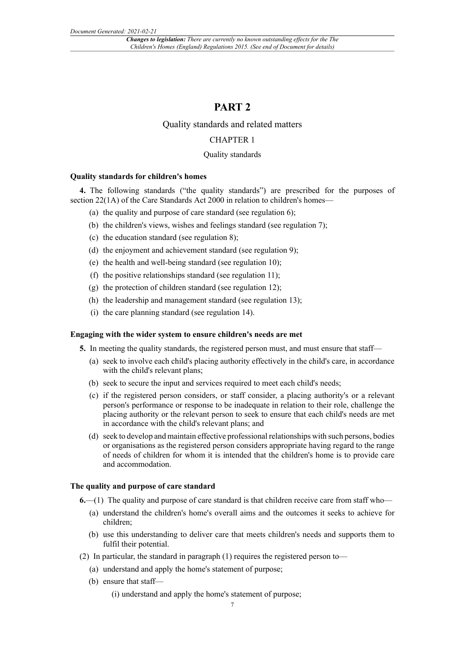### **PART 2**

#### Quality standards and related matters

#### CHAPTER 1

#### Quality standards

#### **Quality standards for children's homes**

**4.** The following standards ("the quality standards") are prescribed for the purposes of section 22(1A) of the Care Standards Act 2000 in relation to children's homes-

- (a) the quality and purpose of care standard (see regulation 6);
- (b) the children's views, wishes and feelings standard (see regulation 7);
- (c) the education standard (see regulation 8);
- (d) the enjoyment and achievement standard (see regulation 9);
- (e) the health and well-being standard (see regulation 10);
- (f) the positive relationships standard (see regulation 11);
- (g) the protection of children standard (see regulation 12);
- (h) the leadership and management standard (see regulation 13);
- (i) the care planning standard (see regulation 14).

#### **Engaging with the wider system to ensure children's needs are met**

- **5.** In meeting the quality standards, the registered person must, and must ensure that staff—
	- (a) seek to involve each child's placing authority effectively in the child's care, in accordance with the child's relevant plans;
	- (b) seek to secure the input and services required to meet each child's needs;
	- (c) if the registered person considers, or staff consider, a placing authority's or a relevant person's performance or response to be inadequate in relation to their role, challenge the placing authority or the relevant person to seek to ensure that each child's needs are met in accordance with the child's relevant plans; and
	- (d) seek to develop and maintain effective professional relationships with such persons, bodies or organisations as the registered person considers appropriate having regard to the range of needs of children for whom it is intended that the children's home is to provide care and accommodation.

#### **The quality and purpose of care standard**

- **6.**—(1) The quality and purpose of care standard is that children receive care from staff who—
	- (a) understand the children's home's overall aims and the outcomes it seeks to achieve for children;
	- (b) use this understanding to deliver care that meets children's needs and supports them to fulfil their potential.
- (2) In particular, the standard in paragraph (1) requires the registered person to—
	- (a) understand and apply the home's statement of purpose;
	- (b) ensure that staff—
		- (i) understand and apply the home's statement of purpose;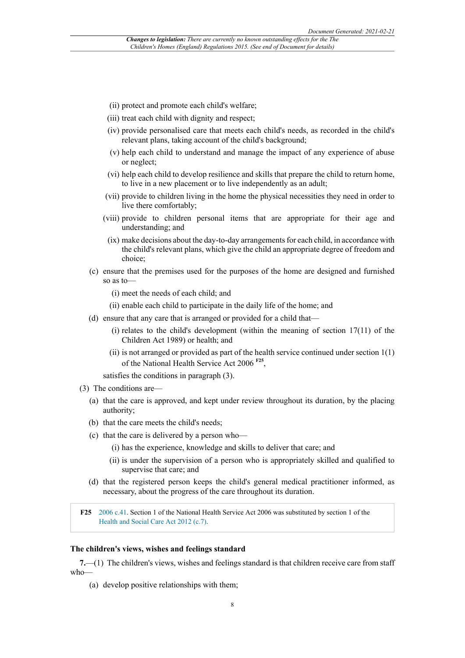- (ii) protect and promote each child's welfare;
- (iii) treat each child with dignity and respect;
- (iv) provide personalised care that meets each child's needs, as recorded in the child's relevant plans, taking account of the child's background;
- (v) help each child to understand and manage the impact of any experience of abuse or neglect;
- (vi) help each child to develop resilience and skills that prepare the child to return home, to live in a new placement or to live independently as an adult;
- (vii) provide to children living in the home the physical necessities they need in order to live there comfortably;
- (viii) provide to children personal items that are appropriate for their age and understanding; and
- (ix) make decisions about the day-to-day arrangements for each child, in accordance with the child's relevant plans, which give the child an appropriate degree of freedom and choice;
- (c) ensure that the premises used for the purposes of the home are designed and furnished so as to—
	- (i) meet the needs of each child; and
	- (ii) enable each child to participate in the daily life of the home; and
- (d) ensure that any care that is arranged or provided for a child that—
	- (i) relates to the child's development (within the meaning of section  $17(11)$  of the Children Act 1989) or health; and
	- (ii) is not arranged or provided as part of the health service continued under section 1(1) of the National Health Service Act 2006 **F25** ,

satisfies the conditions in paragraph (3).

- (3) The conditions are—
	- (a) that the care is approved, and kept under review throughout its duration, by the placing authority;
	- (b) that the care meets the child's needs;
	- (c) that the care is delivered by a person who—
		- (i) has the experience, knowledge and skills to deliver that care; and
		- (ii) is under the supervision of a person who is appropriately skilled and qualified to supervise that care; and
	- (d) that the registered person keeps the child's general medical practitioner informed, as necessary, about the progress of the care throughout its duration.

**F25** 2006 c.41. Section 1 of the National Health Service Act 2006 was substituted by section 1 of the Health and Social Care Act 2012 (c.7).

#### **The children's views, wishes and feelings standard**

**7.**—(1) The children's views, wishes and feelings standard is that children receive care from staff who—

(a) develop positive relationships with them;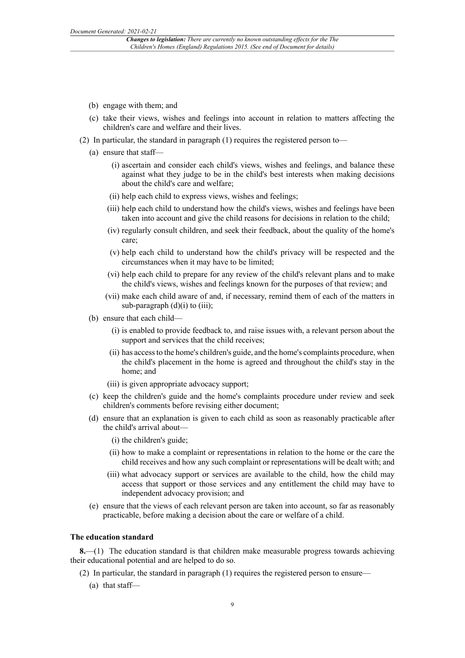- (b) engage with them; and
- (c) take their views, wishes and feelings into account in relation to matters affecting the children's care and welfare and their lives.
- (2) In particular, the standard in paragraph (1) requires the registered person to—
	- (a) ensure that staff—
		- (i) ascertain and consider each child's views, wishes and feelings, and balance these against what they judge to be in the child's best interests when making decisions about the child's care and welfare;
		- (ii) help each child to express views, wishes and feelings;
		- (iii) help each child to understand how the child's views, wishes and feelings have been taken into account and give the child reasons for decisions in relation to the child;
		- (iv) regularly consult children, and seek their feedback, about the quality of the home's care;
		- (v) help each child to understand how the child's privacy will be respected and the circumstances when it may have to be limited;
		- (vi) help each child to prepare for any review of the child's relevant plans and to make the child's views, wishes and feelings known for the purposes of that review; and
		- (vii) make each child aware of and, if necessary, remind them of each of the matters in sub-paragraph  $(d)(i)$  to  $(iii)$ ;
	- (b) ensure that each child—
		- (i) is enabled to provide feedback to, and raise issues with, a relevant person about the support and services that the child receives;
		- (ii) has access to the home's children's guide, and the home's complaints procedure, when the child's placement in the home is agreed and throughout the child's stay in the home; and
		- (iii) is given appropriate advocacy support;
	- (c) keep the children's guide and the home's complaints procedure under review and seek children's comments before revising either document;
	- (d) ensure that an explanation is given to each child as soon as reasonably practicable after the child's arrival about—
		- (i) the children's guide;
		- (ii) how to make a complaint or representations in relation to the home or the care the child receives and how any such complaint or representations will be dealt with; and
		- (iii) what advocacy support or services are available to the child, how the child may access that support or those services and any entitlement the child may have to independent advocacy provision; and
	- (e) ensure that the views of each relevant person are taken into account, so far as reasonably practicable, before making a decision about the care or welfare of a child.

#### **The education standard**

**8.**—(1) The education standard is that children make measurable progress towards achieving their educational potential and are helped to do so.

- (2) In particular, the standard in paragraph (1) requires the registered person to ensure—
	- (a) that staff—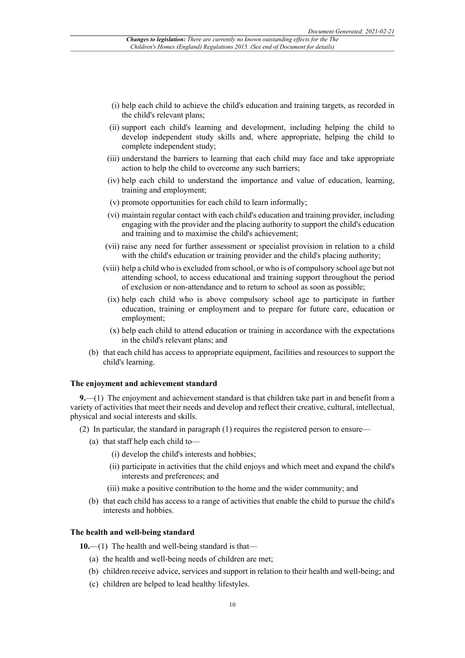- (i) help each child to achieve the child's education and training targets, as recorded in the child's relevant plans;
- (ii) support each child's learning and development, including helping the child to develop independent study skills and, where appropriate, helping the child to complete independent study;
- (iii) understand the barriers to learning that each child may face and take appropriate action to help the child to overcome any such barriers;
- (iv) help each child to understand the importance and value of education, learning, training and employment;
- (v) promote opportunities for each child to learn informally;
- (vi) maintain regular contact with each child's education and training provider, including engaging with the provider and the placing authority to support the child's education and training and to maximise the child's achievement;
- (vii) raise any need for further assessment or specialist provision in relation to a child with the child's education or training provider and the child's placing authority;
- (viii) help a child who is excluded from school, or who is of compulsory school age but not attending school, to access educational and training support throughout the period of exclusion or non-attendance and to return to school as soon as possible;
- (ix) help each child who is above compulsory school age to participate in further education, training or employment and to prepare for future care, education or employment;
- (x) help each child to attend education or training in accordance with the expectations in the child's relevant plans; and
- (b) that each child has access to appropriate equipment, facilities and resources to support the child's learning.

#### **The enjoyment and achievement standard**

**9.**—(1) The enjoyment and achievement standard is that children take part in and benefit from a variety of activities that meet their needs and develop and reflect their creative, cultural, intellectual, physical and social interests and skills.

- (2) In particular, the standard in paragraph (1) requires the registered person to ensure—
	- (a) that staff help each child to—
		- (i) develop the child's interests and hobbies;
		- (ii) participate in activities that the child enjoys and which meet and expand the child's interests and preferences; and
		- (iii) make a positive contribution to the home and the wider community; and
	- (b) that each child has access to a range of activities that enable the child to pursue the child's interests and hobbies.

#### **The health and well-being standard**

- **10.**—(1) The health and well-being standard is that—
	- (a) the health and well-being needs of children are met;
	- (b) children receive advice, services and support in relation to their health and well-being; and
	- (c) children are helped to lead healthy lifestyles.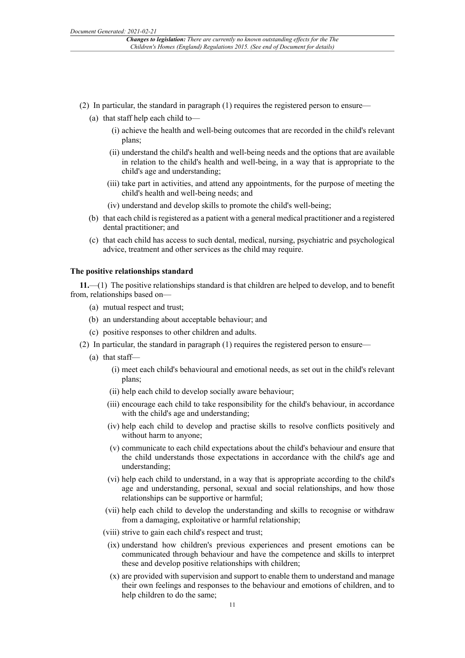- (2) In particular, the standard in paragraph (1) requires the registered person to ensure—
	- (a) that staff help each child to—
		- (i) achieve the health and well-being outcomes that are recorded in the child's relevant plans;
		- (ii) understand the child's health and well-being needs and the options that are available in relation to the child's health and well-being, in a way that is appropriate to the child's age and understanding;
		- (iii) take part in activities, and attend any appointments, for the purpose of meeting the child's health and well-being needs; and
		- (iv) understand and develop skills to promote the child's well-being;
	- (b) that each child is registered as a patient with a general medical practitioner and a registered dental practitioner; and
	- (c) that each child has access to such dental, medical, nursing, psychiatric and psychological advice, treatment and other services as the child may require.

#### **The positive relationships standard**

**11.**—(1) The positive relationships standard is that children are helped to develop, and to benefit from, relationships based on—

- (a) mutual respect and trust;
- (b) an understanding about acceptable behaviour; and
- (c) positive responses to other children and adults.
- (2) In particular, the standard in paragraph (1) requires the registered person to ensure—
	- (a) that staff—
		- (i) meet each child's behavioural and emotional needs, as set out in the child's relevant plans;
		- (ii) help each child to develop socially aware behaviour;
		- (iii) encourage each child to take responsibility for the child's behaviour, in accordance with the child's age and understanding;
		- (iv) help each child to develop and practise skills to resolve conflicts positively and without harm to anyone;
		- (v) communicate to each child expectations about the child's behaviour and ensure that the child understands those expectations in accordance with the child's age and understanding;
		- (vi) help each child to understand, in a way that is appropriate according to the child's age and understanding, personal, sexual and social relationships, and how those relationships can be supportive or harmful;
		- (vii) help each child to develop the understanding and skills to recognise or withdraw from a damaging, exploitative or harmful relationship;
		- (viii) strive to gain each child's respect and trust;
		- (ix) understand how children's previous experiences and present emotions can be communicated through behaviour and have the competence and skills to interpret these and develop positive relationships with children;
		- (x) are provided with supervision and support to enable them to understand and manage their own feelings and responses to the behaviour and emotions of children, and to help children to do the same;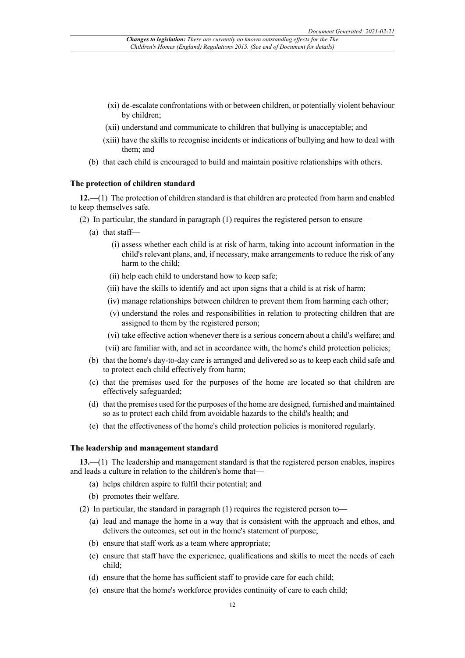- (xi) de-escalate confrontations with or between children, or potentially violent behaviour by children;
- (xii) understand and communicate to children that bullying is unacceptable; and
- (xiii) have the skills to recognise incidents or indications of bullying and how to deal with them; and
- (b) that each child is encouraged to build and maintain positive relationships with others.

#### **The protection of children standard**

**12.**—(1) The protection of children standard is that children are protected from harm and enabled to keep themselves safe.

- (2) In particular, the standard in paragraph (1) requires the registered person to ensure—
	- (a) that staff—
		- (i) assess whether each child is at risk of harm, taking into account information in the child's relevant plans, and, if necessary, make arrangements to reduce the risk of any harm to the child;
		- (ii) help each child to understand how to keep safe;
		- (iii) have the skills to identify and act upon signs that a child is at risk of harm;
		- (iv) manage relationships between children to prevent them from harming each other;
		- (v) understand the roles and responsibilities in relation to protecting children that are assigned to them by the registered person;
		- (vi) take effective action whenever there is a serious concern about a child's welfare; and
		- (vii) are familiar with, and act in accordance with, the home's child protection policies;
	- (b) that the home's day-to-day care is arranged and delivered so as to keep each child safe and to protect each child effectively from harm;
	- (c) that the premises used for the purposes of the home are located so that children are effectively safeguarded;
	- (d) that the premises used for the purposes of the home are designed, furnished and maintained so as to protect each child from avoidable hazards to the child's health; and
	- (e) that the effectiveness of the home's child protection policies is monitored regularly.

#### **The leadership and management standard**

**13.**—(1) The leadership and management standard is that the registered person enables, inspires and leads a culture in relation to the children's home that—

- (a) helps children aspire to fulfil their potential; and
- (b) promotes their welfare.
- (2) In particular, the standard in paragraph (1) requires the registered person to—
	- (a) lead and manage the home in a way that is consistent with the approach and ethos, and delivers the outcomes, set out in the home's statement of purpose;
	- (b) ensure that staff work as a team where appropriate;
	- (c) ensure that staff have the experience, qualifications and skills to meet the needs of each child;
	- (d) ensure that the home has sufficient staff to provide care for each child;
	- (e) ensure that the home's workforce provides continuity of care to each child;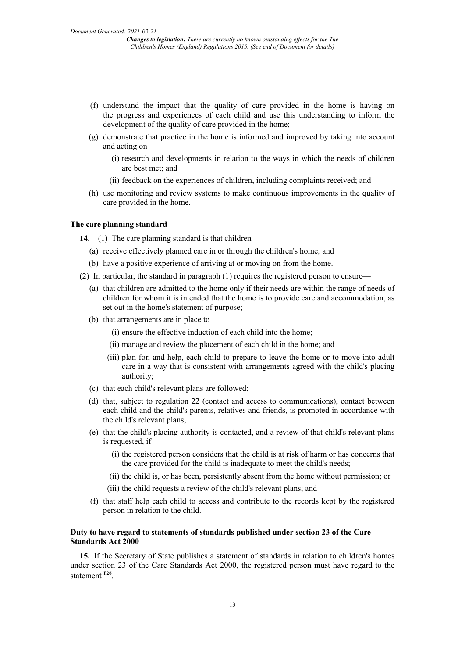- (f) understand the impact that the quality of care provided in the home is having on the progress and experiences of each child and use this understanding to inform the development of the quality of care provided in the home;
- (g) demonstrate that practice in the home is informed and improved by taking into account and acting on—
	- (i) research and developments in relation to the ways in which the needs of children are best met; and
	- (ii) feedback on the experiences of children, including complaints received; and
- (h) use monitoring and review systems to make continuous improvements in the quality of care provided in the home.

#### **The care planning standard**

**14.**—(1) The care planning standard is that children—

- (a) receive effectively planned care in or through the children's home; and
- (b) have a positive experience of arriving at or moving on from the home.
- (2) In particular, the standard in paragraph (1) requires the registered person to ensure—
	- (a) that children are admitted to the home only if their needs are within the range of needs of children for whom it is intended that the home is to provide care and accommodation, as set out in the home's statement of purpose;
	- (b) that arrangements are in place to—
		- (i) ensure the effective induction of each child into the home;
		- (ii) manage and review the placement of each child in the home; and
		- (iii) plan for, and help, each child to prepare to leave the home or to move into adult care in a way that is consistent with arrangements agreed with the child's placing authority;
	- (c) that each child's relevant plans are followed;
	- (d) that, subject to regulation 22 (contact and access to communications), contact between each child and the child's parents, relatives and friends, is promoted in accordance with the child's relevant plans;
	- (e) that the child's placing authority is contacted, and a review of that child's relevant plans is requested, if—
		- (i) the registered person considers that the child is at risk of harm or has concerns that the care provided for the child is inadequate to meet the child's needs;
		- (ii) the child is, or has been, persistently absent from the home without permission; or
		- (iii) the child requests a review of the child's relevant plans; and
	- (f) that staff help each child to access and contribute to the records kept by the registered person in relation to the child.

#### **Duty to have regard to statements of standards published under section 23 of the Care Standards Act 2000**

**15.** If the Secretary of State publishes a statement of standards in relation to children's homes under section 23 of the Care Standards Act 2000, the registered person must have regard to the statement **F26** .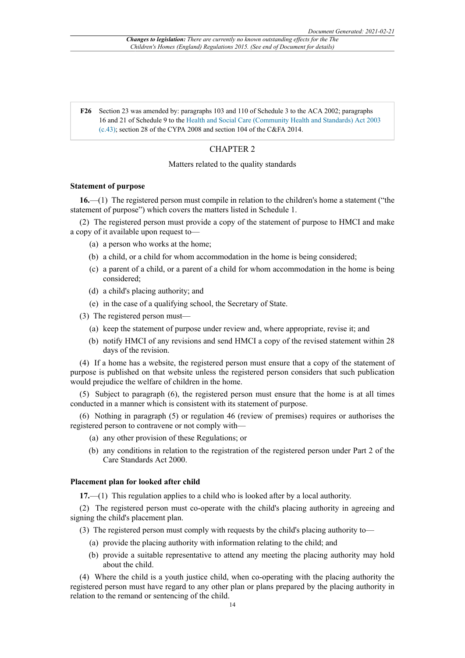**F26** Section 23 was amended by: paragraphs 103 and 110 of Schedule 3 to the ACA 2002; paragraphs 16 and 21 of Schedule 9 to the Health and Social Care (Community Health and Standards) Act 2003 (c.43); section 28 of the CYPA 2008 and section 104 of the C&FA 2014.

#### CHAPTER 2

#### Matters related to the quality standards

#### **Statement of purpose**

**16.**—(1) The registered person must compile in relation to the children's home a statement ("the statement of purpose") which covers the matters listed in Schedule 1.

(2) The registered person must provide a copy of the statement of purpose to HMCI and make a copy of it available upon request to—

- (a) a person who works at the home;
- (b) a child, or a child for whom accommodation in the home is being considered;
- (c) a parent of a child, or a parent of a child for whom accommodation in the home is being considered;
- (d) a child's placing authority; and
- (e) in the case of a qualifying school, the Secretary of State.
- (3) The registered person must—
	- (a) keep the statement of purpose under review and, where appropriate, revise it; and
	- (b) notify HMCI of any revisions and send HMCI a copy of the revised statement within 28 days of the revision.

(4) If a home has a website, the registered person must ensure that a copy of the statement of purpose is published on that website unless the registered person considers that such publication would prejudice the welfare of children in the home.

(5) Subject to paragraph (6), the registered person must ensure that the home is at all times conducted in a manner which is consistent with its statement of purpose.

(6) Nothing in paragraph (5) or regulation 46 (review of premises) requires or authorises the registered person to contravene or not comply with—

- (a) any other provision of these Regulations; or
- (b) any conditions in relation to the registration of the registered person under Part 2 of the Care Standards Act 2000.

#### **Placement plan for looked after child**

**17.**—(1) This regulation applies to a child who is looked after by a local authority.

(2) The registered person must co-operate with the child's placing authority in agreeing and signing the child's placement plan.

(3) The registered person must comply with requests by the child's placing authority to—

- (a) provide the placing authority with information relating to the child; and
- (b) provide a suitable representative to attend any meeting the placing authority may hold about the child.

(4) Where the child is a youth justice child, when co-operating with the placing authority the registered person must have regard to any other plan or plans prepared by the placing authority in relation to the remand or sentencing of the child.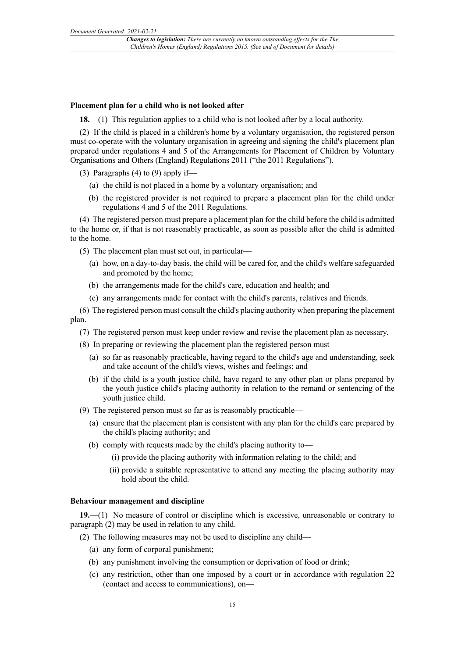#### **Placement plan for a child who is not looked after**

**18.**—(1) This regulation applies to a child who is not looked after by a local authority.

(2) If the child is placed in a children's home by a voluntary organisation, the registered person must co-operate with the voluntary organisation in agreeing and signing the child's placement plan prepared under regulations 4 and 5 of the Arrangements for Placement of Children by Voluntary Organisations and Others (England) Regulations 2011 ("the 2011 Regulations").

(3) Paragraphs (4) to (9) apply if—

- (a) the child is not placed in a home by a voluntary organisation; and
- (b) the registered provider is not required to prepare a placement plan for the child under regulations 4 and 5 of the 2011 Regulations.

(4) The registered person must prepare a placement plan for the child before the child is admitted to the home or, if that is not reasonably practicable, as soon as possible after the child is admitted to the home.

(5) The placement plan must set out, in particular—

- (a) how, on a day-to-day basis, the child will be cared for, and the child's welfare safeguarded and promoted by the home;
- (b) the arrangements made for the child's care, education and health; and
- (c) any arrangements made for contact with the child's parents, relatives and friends.

(6) The registered person must consult the child's placing authority when preparing the placement plan.

- (7) The registered person must keep under review and revise the placement plan as necessary.
- (8) In preparing or reviewing the placement plan the registered person must—
	- (a) so far as reasonably practicable, having regard to the child's age and understanding, seek and take account of the child's views, wishes and feelings; and
	- (b) if the child is a youth justice child, have regard to any other plan or plans prepared by the youth justice child's placing authority in relation to the remand or sentencing of the youth justice child.
- (9) The registered person must so far as is reasonably practicable—
	- (a) ensure that the placement plan is consistent with any plan for the child's care prepared by the child's placing authority; and
	- (b) comply with requests made by the child's placing authority to—
		- (i) provide the placing authority with information relating to the child; and
		- (ii) provide a suitable representative to attend any meeting the placing authority may hold about the child.

#### **Behaviour management and discipline**

**19.**—(1) No measure of control or discipline which is excessive, unreasonable or contrary to paragraph (2) may be used in relation to any child.

(2) The following measures may not be used to discipline any child—

- (a) any form of corporal punishment;
- (b) any punishment involving the consumption or deprivation of food or drink;
- (c) any restriction, other than one imposed by a court or in accordance with regulation 22 (contact and access to communications), on—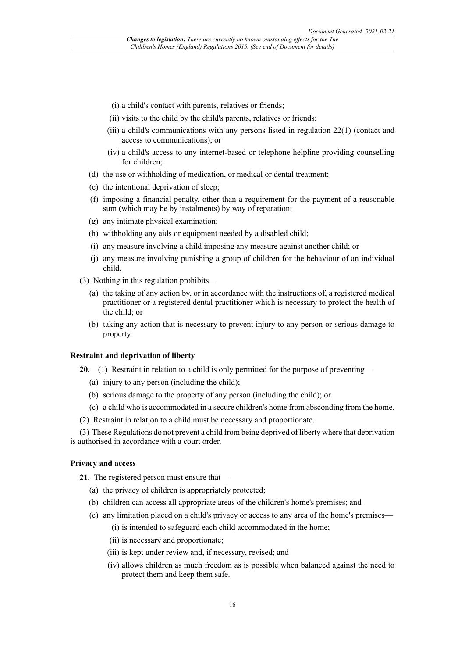- (i) a child's contact with parents, relatives or friends;
- (ii) visits to the child by the child's parents, relatives or friends;
- (iii) a child's communications with any persons listed in regulation 22(1) (contact and access to communications); or
- (iv) a child's access to any internet-based or telephone helpline providing counselling for children;
- (d) the use or withholding of medication, or medical or dental treatment;
- (e) the intentional deprivation of sleep;
- (f) imposing a financial penalty, other than a requirement for the payment of a reasonable sum (which may be by instalments) by way of reparation;
- (g) any intimate physical examination;
- (h) withholding any aids or equipment needed by a disabled child;
- (i) any measure involving a child imposing any measure against another child; or
- (j) any measure involving punishing a group of children for the behaviour of an individual child.
- (3) Nothing in this regulation prohibits—
	- (a) the taking of any action by, or in accordance with the instructions of, a registered medical practitioner or a registered dental practitioner which is necessary to protect the health of the child; or
	- (b) taking any action that is necessary to prevent injury to any person or serious damage to property.

#### **Restraint and deprivation of liberty**

**20.**—(1) Restraint in relation to a child is only permitted for the purpose of preventing—

- (a) injury to any person (including the child);
- (b) serious damage to the property of any person (including the child); or
- (c) a child who is accommodated in a secure children's home from absconding from the home.
- (2) Restraint in relation to a child must be necessary and proportionate.

(3) These Regulations do not prevent a child from being deprived of liberty where that deprivation is authorised in accordance with a court order.

#### **Privacy and access**

- **21.** The registered person must ensure that—
	- (a) the privacy of children is appropriately protected;
	- (b) children can access all appropriate areas of the children's home's premises; and
	- (c) any limitation placed on a child's privacy or access to any area of the home's premises—
		- (i) is intended to safeguard each child accommodated in the home;
		- (ii) is necessary and proportionate;
		- (iii) is kept under review and, if necessary, revised; and
		- (iv) allows children as much freedom as is possible when balanced against the need to protect them and keep them safe.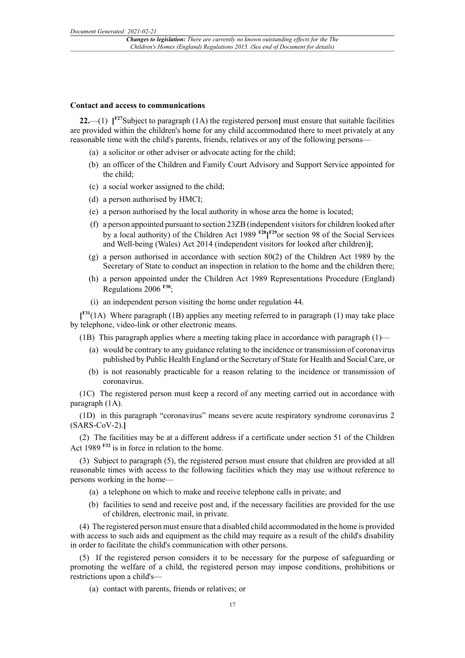#### **Contact and access to communications**

**22.**—(1) **[ F27**Subject to paragraph (1A) the registered person**]** must ensure that suitable facilities are provided within the children's home for any child accommodated there to meet privately at any reasonable time with the child's parents, friends, relatives or any of the following persons—

- (a) a solicitor or other adviser or advocate acting for the child;
- (b) an officer of the Children and Family Court Advisory and Support Service appointed for the child;
- (c) a social worker assigned to the child;
- (d) a person authorised by HMCI;
- (e) a person authorised by the local authority in whose area the home is located;
- (f) a person appointed pursuant to section 23ZB (independent visitors for children looked after by a local authority) of the Children Act 1989 **F28[ F29**or section 98 of the Social Services and Well-being (Wales) Act 2014 (independent visitors for looked after children)**]**;
- (g) a person authorised in accordance with section 80(2) of the Children Act 1989 by the Secretary of State to conduct an inspection in relation to the home and the children there;
- (h) a person appointed under the Children Act 1989 Representations Procedure (England) Regulations 2006 **F30**;
- (i) an independent person visiting the home under regulation 44.

**[ F31**(1A) Where paragraph (1B) applies any meeting referred to in paragraph (1) may take place by telephone, video-link or other electronic means.

(1B) This paragraph applies where a meeting taking place in accordance with paragraph  $(1)$ —

- (a) would be contrary to any guidance relating to the incidence or transmission of coronavirus published by Public Health England or the Secretary of State for Health and Social Care, or
- (b) is not reasonably practicable for a reason relating to the incidence or transmission of coronavirus.

(1C) The registered person must keep a record of any meeting carried out in accordance with paragraph (1A).

(1D) in this paragraph "coronavirus" means severe acute respiratory syndrome coronavirus 2 (SARS-CoV-2).**]**

(2) The facilities may be at a different address if a certificate under section 51 of the Children Act 1989 **F32** is in force in relation to the home.

(3) Subject to paragraph (5), the registered person must ensure that children are provided at all reasonable times with access to the following facilities which they may use without reference to persons working in the home—

- (a) a telephone on which to make and receive telephone calls in private; and
- (b) facilities to send and receive post and, if the necessary facilities are provided for the use of children, electronic mail, in private.

(4) The registered person must ensure that a disabled child accommodated in the home is provided with access to such aids and equipment as the child may require as a result of the child's disability in order to facilitate the child's communication with other persons.

(5) If the registered person considers it to be necessary for the purpose of safeguarding or promoting the welfare of a child, the registered person may impose conditions, prohibitions or restrictions upon a child's—

(a) contact with parents, friends or relatives; or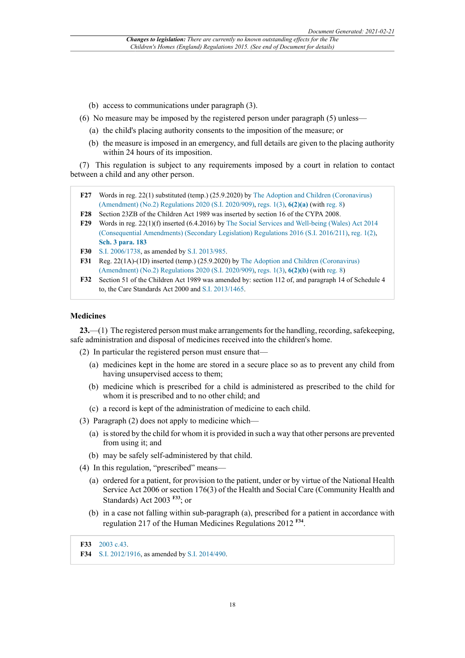- (b) access to communications under paragraph (3).
- (6) No measure may be imposed by the registered person under paragraph (5) unless—
	- (a) the child's placing authority consents to the imposition of the measure; or
	- (b) the measure is imposed in an emergency, and full details are given to the placing authority within 24 hours of its imposition.

(7) This regulation is subject to any requirements imposed by a court in relation to contact between a child and any other person.

- **F27** Words in reg. 22(1) substituted (temp.) (25.9.2020) by The Adoption and Children (Coronavirus) (Amendment) (No.2) Regulations 2020 (S.I. 2020/909), regs. 1(3), **6(2)(a)** (with reg. 8)
- **F28** Section 23ZB of the Children Act 1989 was inserted by section 16 of the CYPA 2008.
- **F29** Words in reg. 22(1)(f) inserted (6.4.2016) by The Social Services and Well-being (Wales) Act 2014 (Consequential Amendments) (Secondary Legislation) Regulations 2016 (S.I. 2016/211), reg. 1(2), **Sch. 3 para. 183**
- **F30** S.I. 2006/1738, as amended by S.I. 2013/985.
- **F31** Reg. 22(1A)-(1D) inserted (temp.) (25.9.2020) by The Adoption and Children (Coronavirus) (Amendment) (No.2) Regulations 2020 (S.I. 2020/909), regs. 1(3), **6(2)(b)** (with reg. 8)
- **F32** Section 51 of the Children Act 1989 was amended by: section 112 of, and paragraph 14 of Schedule 4 to, the Care Standards Act 2000 and S.I. 2013/1465.

#### **Medicines**

**23.**—(1) The registered person must make arrangements for the handling, recording, safekeeping, safe administration and disposal of medicines received into the children's home.

- (2) In particular the registered person must ensure that—
	- (a) medicines kept in the home are stored in a secure place so as to prevent any child from having unsupervised access to them;
	- (b) medicine which is prescribed for a child is administered as prescribed to the child for whom it is prescribed and to no other child; and
	- (c) a record is kept of the administration of medicine to each child.
- (3) Paragraph (2) does not apply to medicine which—
	- (a) is stored by the child for whom it is provided in such a way that other persons are prevented from using it; and
	- (b) may be safely self-administered by that child.
- (4) In this regulation, "prescribed" means—
	- (a) ordered for a patient, for provision to the patient, under or by virtue of the National Health Service Act 2006 or section 176(3) of the Health and Social Care (Community Health and Standards) Act 2003 **F33**; or
	- (b) in a case not falling within sub-paragraph (a), prescribed for a patient in accordance with regulation 217 of the Human Medicines Regulations 2012 **F34** .
- **F33** 2003 c.43.
- **F34** S.I. 2012/1916, as amended by S.I. 2014/490.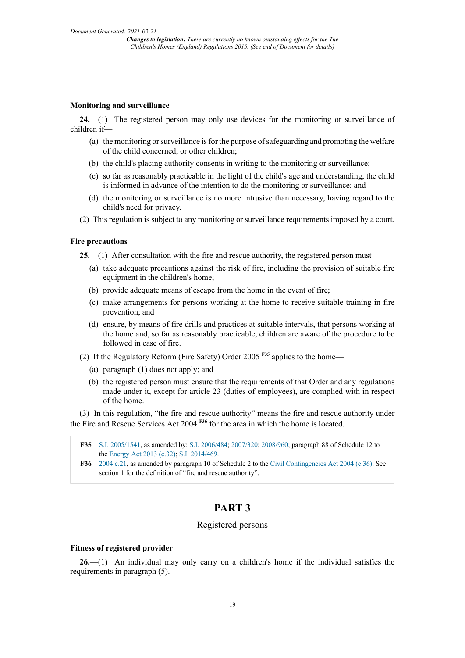#### **Monitoring and surveillance**

**24.**—(1) The registered person may only use devices for the monitoring or surveillance of children if—

- (a) the monitoring or surveillance is for the purpose of safeguarding and promoting the welfare of the child concerned, or other children;
- (b) the child's placing authority consents in writing to the monitoring or surveillance;
- (c) so far as reasonably practicable in the light of the child's age and understanding, the child is informed in advance of the intention to do the monitoring or surveillance; and
- (d) the monitoring or surveillance is no more intrusive than necessary, having regard to the child's need for privacy.
- (2) This regulation is subject to any monitoring or surveillance requirements imposed by a court.

#### **Fire precautions**

**25.**—(1) After consultation with the fire and rescue authority, the registered person must—

- (a) take adequate precautions against the risk of fire, including the provision of suitable fire equipment in the children's home;
- (b) provide adequate means of escape from the home in the event of fire;
- (c) make arrangements for persons working at the home to receive suitable training in fire prevention; and
- (d) ensure, by means of fire drills and practices at suitable intervals, that persons working at the home and, so far as reasonably practicable, children are aware of the procedure to be followed in case of fire.
- (2) If the Regulatory Reform (Fire Safety) Order 2005 **F35** applies to the home—
	- (a) paragraph (1) does not apply; and
	- (b) the registered person must ensure that the requirements of that Order and any regulations made under it, except for article 23 (duties of employees), are complied with in respect of the home.

(3) In this regulation, "the fire and rescue authority" means the fire and rescue authority under the Fire and Rescue Services Act 2004 **F36** for the area in which the home is located.

- **F35** S.I. 2005/1541, as amended by: S.I. 2006/484; 2007/320; 2008/960; paragraph 88 of Schedule 12 to the Energy Act 2013 (c.32); S.I. 2014/469.
- **F36** 2004 c.21, as amended by paragraph 10 of Schedule 2 to the Civil Contingencies Act 2004 (c.36). See section 1 for the definition of "fire and rescue authority".

### **PART 3**

#### Registered persons

#### **Fitness of registered provider**

**26.**—(1) An individual may only carry on a children's home if the individual satisfies the requirements in paragraph (5).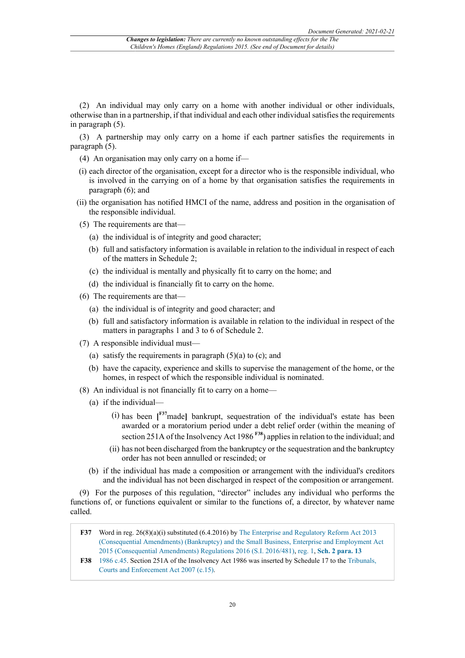(2) An individual may only carry on a home with another individual or other individuals, otherwise than in a partnership, if that individual and each other individual satisfies the requirements in paragraph (5).

(3) A partnership may only carry on a home if each partner satisfies the requirements in paragraph (5).

- (4) An organisation may only carry on a home if—
- (i) each director of the organisation, except for a director who is the responsible individual, who is involved in the carrying on of a home by that organisation satisfies the requirements in paragraph (6); and
- (ii) the organisation has notified HMCI of the name, address and position in the organisation of the responsible individual.
- (5) The requirements are that—
	- (a) the individual is of integrity and good character;
	- (b) full and satisfactory information is available in relation to the individual in respect of each of the matters in Schedule 2;
	- (c) the individual is mentally and physically fit to carry on the home; and
	- (d) the individual is financially fit to carry on the home.
- (6) The requirements are that—
	- (a) the individual is of integrity and good character; and
	- (b) full and satisfactory information is available in relation to the individual in respect of the matters in paragraphs 1 and 3 to 6 of Schedule 2.
- (7) A responsible individual must—
	- (a) satisfy the requirements in paragraph  $(5)(a)$  to  $(c)$ ; and
	- (b) have the capacity, experience and skills to supervise the management of the home, or the homes, in respect of which the responsible individual is nominated.
- (8) An individual is not financially fit to carry on a home—
	- (a) if the individual—
		- (i) has been **[ F37**made**]** bankrupt, sequestration of the individual's estate has been awarded or a moratorium period under a debt relief order (within the meaning of section 251A of the Insolvency Act 1986 **F38**) applies in relation to the individual; and
		- (ii) has not been discharged from the bankruptcy or the sequestration and the bankruptcy order has not been annulled or rescinded; or
	- (b) if the individual has made a composition or arrangement with the individual's creditors and the individual has not been discharged in respect of the composition or arrangement.

(9) For the purposes of this regulation, "director" includes any individual who performs the functions of, or functions equivalent or similar to the functions of, a director, by whatever name called.

- **F37** Word in reg. 26(8)(a)(i) substituted (6.4.2016) by The Enterprise and Regulatory Reform Act 2013 (Consequential Amendments) (Bankruptcy) and the Small Business, Enterprise and Employment Act 2015 (Consequential Amendments) Regulations 2016 (S.I. 2016/481), reg. 1, **Sch. 2 para. 13**
- **F38** 1986 c.45. Section 251A of the Insolvency Act 1986 was inserted by Schedule 17 to the Tribunals, Courts and Enforcement Act 2007 (c.15).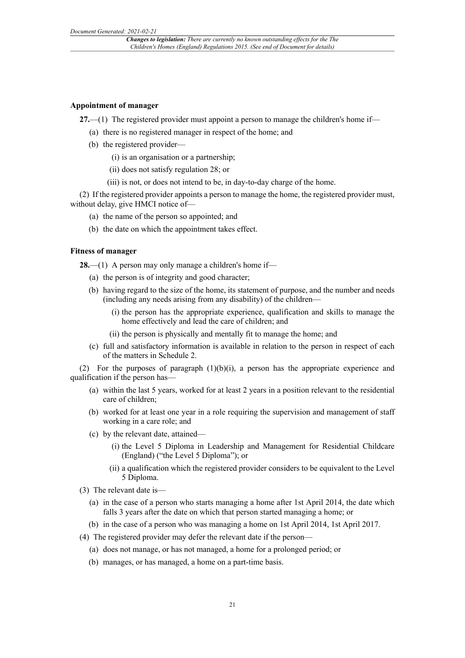#### **Appointment of manager**

**27.**—(1) The registered provider must appoint a person to manage the children's home if—

- (a) there is no registered manager in respect of the home; and
- (b) the registered provider—
	- (i) is an organisation or a partnership;
	- (ii) does not satisfy regulation 28; or
	- (iii) is not, or does not intend to be, in day-to-day charge of the home.

(2) If the registered provider appoints a person to manage the home, the registered provider must, without delay, give HMCI notice of—

- (a) the name of the person so appointed; and
- (b) the date on which the appointment takes effect.

#### **Fitness of manager**

**28.**—(1) A person may only manage a children's home if—

- (a) the person is of integrity and good character;
- (b) having regard to the size of the home, its statement of purpose, and the number and needs (including any needs arising from any disability) of the children—
	- (i) the person has the appropriate experience, qualification and skills to manage the home effectively and lead the care of children; and
	- (ii) the person is physically and mentally fit to manage the home; and
- (c) full and satisfactory information is available in relation to the person in respect of each of the matters in Schedule 2.

(2) For the purposes of paragraph  $(1)(b)(i)$ , a person has the appropriate experience and qualification if the person has—

- (a) within the last 5 years, worked for at least 2 years in a position relevant to the residential care of children;
- (b) worked for at least one year in a role requiring the supervision and management of staff working in a care role; and
- (c) by the relevant date, attained—
	- (i) the Level 5 Diploma in Leadership and Management for Residential Childcare (England) ("the Level 5 Diploma"); or
	- (ii) a qualification which the registered provider considers to be equivalent to the Level 5 Diploma.
- (3) The relevant date is—
	- (a) in the case of a person who starts managing a home after 1st April 2014, the date which falls 3 years after the date on which that person started managing a home; or
	- (b) in the case of a person who was managing a home on 1st April 2014, 1st April 2017.
- (4) The registered provider may defer the relevant date if the person—
	- (a) does not manage, or has not managed, a home for a prolonged period; or
	- (b) manages, or has managed, a home on a part-time basis.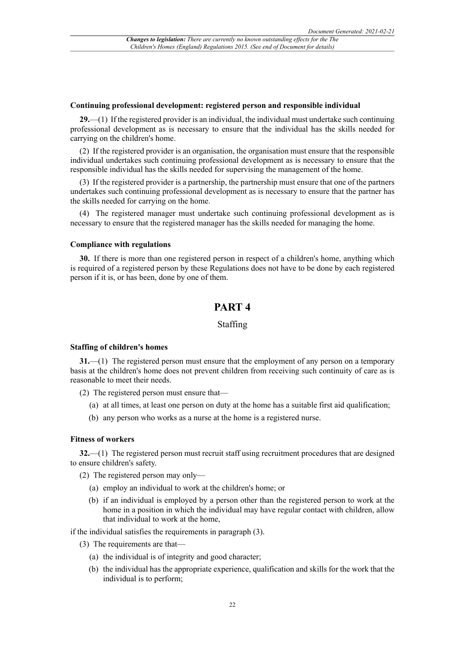#### **Continuing professional development: registered person and responsible individual**

**29.**—(1) If the registered provider is an individual, the individual must undertake such continuing professional development as is necessary to ensure that the individual has the skills needed for carrying on the children's home.

(2) If the registered provider is an organisation, the organisation must ensure that the responsible individual undertakes such continuing professional development as is necessary to ensure that the responsible individual has the skills needed for supervising the management of the home.

(3) If the registered provider is a partnership, the partnership must ensure that one of the partners undertakes such continuing professional development as is necessary to ensure that the partner has the skills needed for carrying on the home.

(4) The registered manager must undertake such continuing professional development as is necessary to ensure that the registered manager has the skills needed for managing the home.

#### **Compliance with regulations**

**30.** If there is more than one registered person in respect of a children's home, anything which is required of a registered person by these Regulations does not have to be done by each registered person if it is, or has been, done by one of them.

### **PART 4**

#### Staffing

#### **Staffing of children's homes**

**31.**—(1) The registered person must ensure that the employment of any person on a temporary basis at the children's home does not prevent children from receiving such continuity of care as is reasonable to meet their needs.

- (2) The registered person must ensure that—
	- (a) at all times, at least one person on duty at the home has a suitable first aid qualification;
	- (b) any person who works as a nurse at the home is a registered nurse.

#### **Fitness of workers**

**32.**—(1) The registered person must recruit staff using recruitment procedures that are designed to ensure children's safety.

- (2) The registered person may only—
	- (a) employ an individual to work at the children's home; or
	- (b) if an individual is employed by a person other than the registered person to work at the home in a position in which the individual may have regular contact with children, allow that individual to work at the home,

if the individual satisfies the requirements in paragraph (3).

- (3) The requirements are that—
	- (a) the individual is of integrity and good character;
	- (b) the individual has the appropriate experience, qualification and skills for the work that the individual is to perform;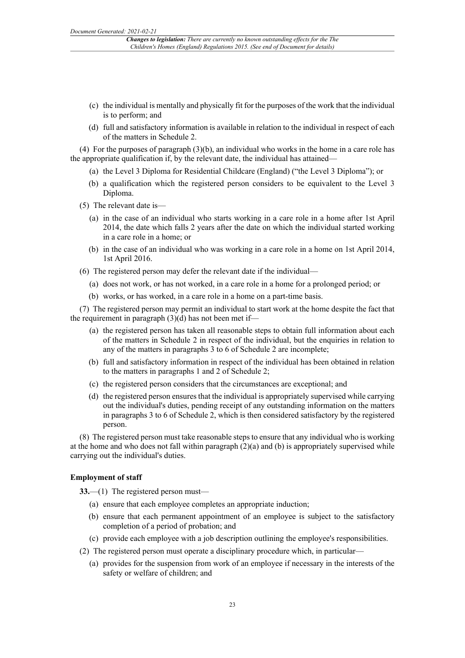- (c) the individual is mentally and physically fit for the purposes of the work that the individual is to perform; and
- (d) full and satisfactory information is available in relation to the individual in respect of each of the matters in Schedule 2.

(4) For the purposes of paragraph (3)(b), an individual who works in the home in a care role has the appropriate qualification if, by the relevant date, the individual has attained—

- (a) the Level 3 Diploma for Residential Childcare (England) ("the Level 3 Diploma"); or
- (b) a qualification which the registered person considers to be equivalent to the Level 3 Diploma.
- (5) The relevant date is—
	- (a) in the case of an individual who starts working in a care role in a home after 1st April 2014, the date which falls 2 years after the date on which the individual started working in a care role in a home; or
	- (b) in the case of an individual who was working in a care role in a home on 1st April 2014, 1st April 2016.
- (6) The registered person may defer the relevant date if the individual—
	- (a) does not work, or has not worked, in a care role in a home for a prolonged period; or
	- (b) works, or has worked, in a care role in a home on a part-time basis.

(7) The registered person may permit an individual to start work at the home despite the fact that the requirement in paragraph (3)(d) has not been met if—

- (a) the registered person has taken all reasonable steps to obtain full information about each of the matters in Schedule 2 in respect of the individual, but the enquiries in relation to any of the matters in paragraphs 3 to 6 of Schedule 2 are incomplete;
- (b) full and satisfactory information in respect of the individual has been obtained in relation to the matters in paragraphs 1 and 2 of Schedule 2;
- (c) the registered person considers that the circumstances are exceptional; and
- (d) the registered person ensures that the individual is appropriately supervised while carrying out the individual's duties, pending receipt of any outstanding information on the matters in paragraphs 3 to 6 of Schedule 2, which is then considered satisfactory by the registered person.

(8) The registered person must take reasonable steps to ensure that any individual who is working at the home and who does not fall within paragraph  $(2)(a)$  and (b) is appropriately supervised while carrying out the individual's duties.

#### **Employment of staff**

**33.**—(1) The registered person must—

- (a) ensure that each employee completes an appropriate induction;
- (b) ensure that each permanent appointment of an employee is subject to the satisfactory completion of a period of probation; and
- (c) provide each employee with a job description outlining the employee's responsibilities.
- (2) The registered person must operate a disciplinary procedure which, in particular—
	- (a) provides for the suspension from work of an employee if necessary in the interests of the safety or welfare of children; and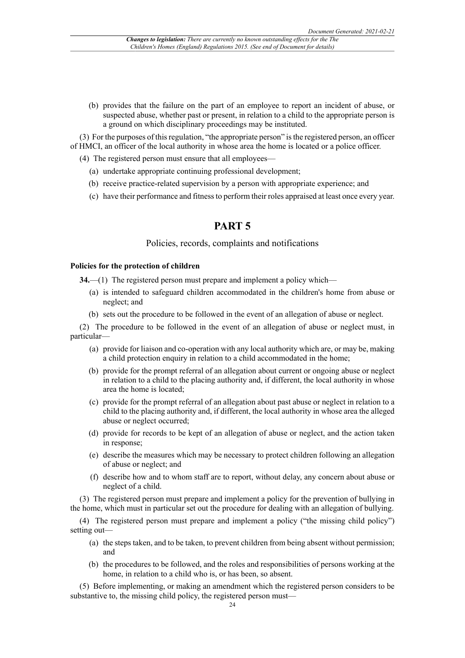(b) provides that the failure on the part of an employee to report an incident of abuse, or suspected abuse, whether past or present, in relation to a child to the appropriate person is a ground on which disciplinary proceedings may be instituted.

(3) For the purposes of thisregulation, "the appropriate person" isthe registered person, an officer of HMCI, an officer of the local authority in whose area the home is located or a police officer.

- (4) The registered person must ensure that all employees—
	- (a) undertake appropriate continuing professional development;
	- (b) receive practice-related supervision by a person with appropriate experience; and
	- (c) have their performance and fitnessto perform their roles appraised at least once every year.

### **PART 5**

#### Policies, records, complaints and notifications

#### **Policies for the protection of children**

**34.**—(1) The registered person must prepare and implement a policy which—

- (a) is intended to safeguard children accommodated in the children's home from abuse or neglect; and
- (b) sets out the procedure to be followed in the event of an allegation of abuse or neglect.

(2) The procedure to be followed in the event of an allegation of abuse or neglect must, in particular—

- (a) provide for liaison and co-operation with any local authority which are, or may be, making a child protection enquiry in relation to a child accommodated in the home;
- (b) provide for the prompt referral of an allegation about current or ongoing abuse or neglect in relation to a child to the placing authority and, if different, the local authority in whose area the home is located;
- (c) provide for the prompt referral of an allegation about past abuse or neglect in relation to a child to the placing authority and, if different, the local authority in whose area the alleged abuse or neglect occurred;
- (d) provide for records to be kept of an allegation of abuse or neglect, and the action taken in response;
- (e) describe the measures which may be necessary to protect children following an allegation of abuse or neglect; and
- (f) describe how and to whom staff are to report, without delay, any concern about abuse or neglect of a child.

(3) The registered person must prepare and implement a policy for the prevention of bullying in the home, which must in particular set out the procedure for dealing with an allegation of bullying.

(4) The registered person must prepare and implement a policy ("the missing child policy") setting out—

- (a) the steps taken, and to be taken, to prevent children from being absent without permission; and
- (b) the procedures to be followed, and the roles and responsibilities of persons working at the home, in relation to a child who is, or has been, so absent.

(5) Before implementing, or making an amendment which the registered person considers to be substantive to, the missing child policy, the registered person must—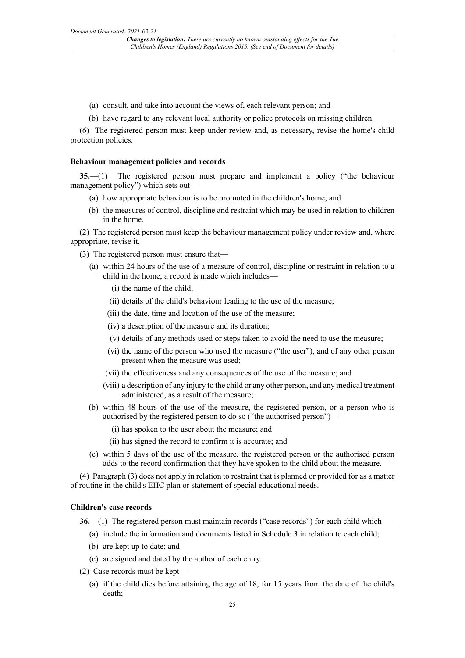- (a) consult, and take into account the views of, each relevant person; and
- (b) have regard to any relevant local authority or police protocols on missing children.

(6) The registered person must keep under review and, as necessary, revise the home's child protection policies.

#### **Behaviour management policies and records**

**35.**—(1) The registered person must prepare and implement a policy ("the behaviour management policy") which sets out—

- (a) how appropriate behaviour is to be promoted in the children's home; and
- (b) the measures of control, discipline and restraint which may be used in relation to children in the home.

(2) The registered person must keep the behaviour management policy under review and, where appropriate, revise it.

- (3) The registered person must ensure that—
	- (a) within 24 hours of the use of a measure of control, discipline or restraint in relation to a child in the home, a record is made which includes—
		- (i) the name of the child;
		- (ii) details of the child's behaviour leading to the use of the measure;
		- (iii) the date, time and location of the use of the measure;
		- (iv) a description of the measure and its duration;
		- (v) details of any methods used or steps taken to avoid the need to use the measure;
		- (vi) the name of the person who used the measure ("the user"), and of any other person present when the measure was used;
		- (vii) the effectiveness and any consequences of the use of the measure; and
		- (viii) a description of any injury to the child or any other person, and any medical treatment administered, as a result of the measure;
	- (b) within 48 hours of the use of the measure, the registered person, or a person who is authorised by the registered person to do so ("the authorised person")—
		- (i) has spoken to the user about the measure; and
		- (ii) has signed the record to confirm it is accurate; and
	- (c) within 5 days of the use of the measure, the registered person or the authorised person adds to the record confirmation that they have spoken to the child about the measure.

(4) Paragraph (3) does not apply in relation to restraint that is planned or provided for as a matter of routine in the child's EHC plan or statement of special educational needs.

#### **Children's case records**

**36.—(1)** The registered person must maintain records ("case records") for each child which—

- (a) include the information and documents listed in Schedule 3 in relation to each child;
- (b) are kept up to date; and
- (c) are signed and dated by the author of each entry.
- (2) Case records must be kept—
	- (a) if the child dies before attaining the age of 18, for 15 years from the date of the child's death;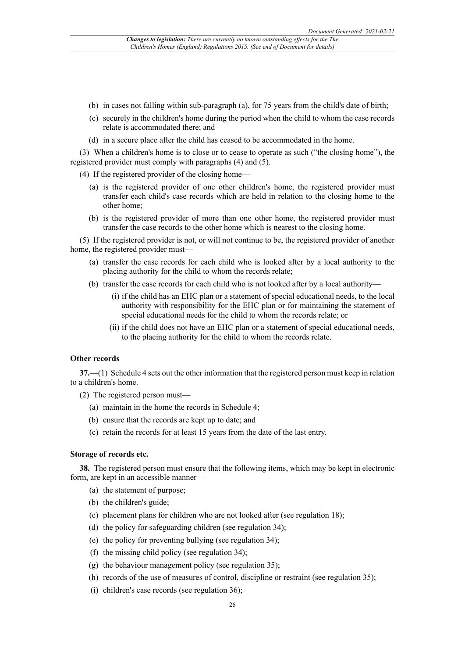- (b) in cases not falling within sub-paragraph (a), for 75 years from the child's date of birth;
- (c) securely in the children's home during the period when the child to whom the case records relate is accommodated there; and
- (d) in a secure place after the child has ceased to be accommodated in the home.

(3) When a children's home is to close or to cease to operate as such ("the closing home"), the registered provider must comply with paragraphs (4) and (5).

(4) If the registered provider of the closing home—

- (a) is the registered provider of one other children's home, the registered provider must transfer each child's case records which are held in relation to the closing home to the other home;
- (b) is the registered provider of more than one other home, the registered provider must transfer the case records to the other home which is nearest to the closing home.

(5) If the registered provider is not, or will not continue to be, the registered provider of another home, the registered provider must—

- (a) transfer the case records for each child who is looked after by a local authority to the placing authority for the child to whom the records relate;
- (b) transfer the case records for each child who is not looked after by a local authority—
	- (i) if the child has an EHC plan or a statement of special educational needs, to the local authority with responsibility for the EHC plan or for maintaining the statement of special educational needs for the child to whom the records relate; or
	- (ii) if the child does not have an EHC plan or a statement of special educational needs, to the placing authority for the child to whom the records relate.

#### **Other records**

**37.**—(1) Schedule 4 sets out the other information that the registered person must keep in relation to a children's home.

- (2) The registered person must—
	- (a) maintain in the home the records in Schedule 4;
	- (b) ensure that the records are kept up to date; and
	- (c) retain the records for at least 15 years from the date of the last entry.

#### **Storage of records etc.**

**38.** The registered person must ensure that the following items, which may be kept in electronic form, are kept in an accessible manner—

- (a) the statement of purpose;
- (b) the children's guide;
- (c) placement plans for children who are not looked after (see regulation 18);
- (d) the policy for safeguarding children (see regulation 34);
- (e) the policy for preventing bullying (see regulation 34);
- (f) the missing child policy (see regulation 34);
- (g) the behaviour management policy (see regulation 35);
- (h) records of the use of measures of control, discipline or restraint (see regulation 35);
- (i) children's case records (see regulation 36);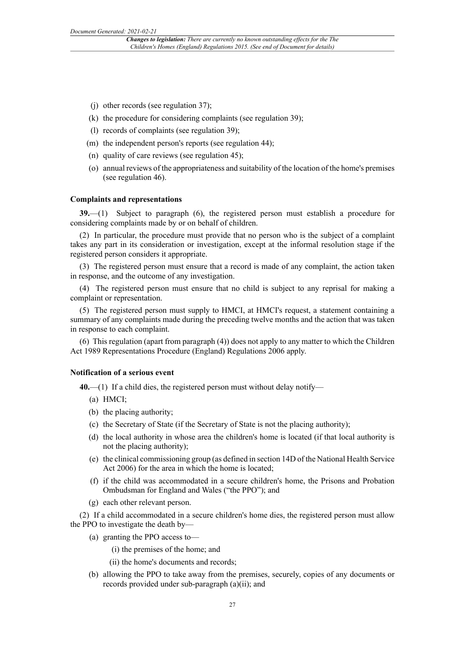- (j) other records (see regulation 37);
- (k) the procedure for considering complaints (see regulation 39);
- (l) records of complaints (see regulation 39);
- (m) the independent person's reports (see regulation 44);
- (n) quality of care reviews (see regulation 45);
- (o) annual reviews of the appropriateness and suitability of the location of the home's premises (see regulation 46).

#### **Complaints and representations**

**39.**—(1) Subject to paragraph (6), the registered person must establish a procedure for considering complaints made by or on behalf of children.

(2) In particular, the procedure must provide that no person who is the subject of a complaint takes any part in its consideration or investigation, except at the informal resolution stage if the registered person considers it appropriate.

(3) The registered person must ensure that a record is made of any complaint, the action taken in response, and the outcome of any investigation.

(4) The registered person must ensure that no child is subject to any reprisal for making a complaint or representation.

(5) The registered person must supply to HMCI, at HMCI's request, a statement containing a summary of any complaints made during the preceding twelve months and the action that was taken in response to each complaint.

(6) This regulation (apart from paragraph (4)) does not apply to any matter to which the Children Act 1989 Representations Procedure (England) Regulations 2006 apply.

#### **Notification of a serious event**

**40.**—(1) If a child dies, the registered person must without delay notify—

- (a) HMCI;
- (b) the placing authority;
- (c) the Secretary of State (if the Secretary of State is not the placing authority);
- (d) the local authority in whose area the children's home is located (if that local authority is not the placing authority);
- (e) the clinical commissioning group (as defined in section 14D of the National Health Service Act 2006) for the area in which the home is located;
- (f) if the child was accommodated in a secure children's home, the Prisons and Probation Ombudsman for England and Wales ("the PPO"); and
- (g) each other relevant person.

(2) If a child accommodated in a secure children's home dies, the registered person must allow the PPO to investigate the death by—

- (a) granting the PPO access to—
	- (i) the premises of the home; and
	- (ii) the home's documents and records;
- (b) allowing the PPO to take away from the premises, securely, copies of any documents or records provided under sub-paragraph (a)(ii); and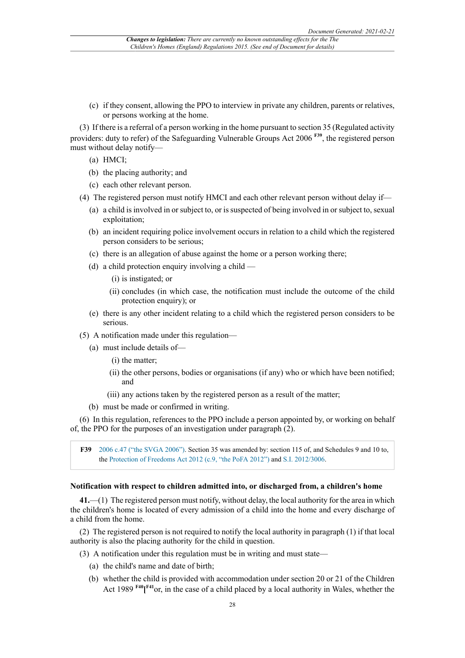(c) if they consent, allowing the PPO to interview in private any children, parents or relatives, or persons working at the home.

(3) If there is a referral of a person working in the home pursuant to section 35 (Regulated activity providers: duty to refer) of the Safeguarding Vulnerable Groups Act 2006 **F39**, the registered person must without delay notify—

- (a) HMCI;
- (b) the placing authority; and
- (c) each other relevant person.
- (4) The registered person must notify HMCI and each other relevant person without delay if—
	- (a) a child is involved in or subject to, or is suspected of being involved in or subject to, sexual exploitation;
	- (b) an incident requiring police involvement occurs in relation to a child which the registered person considers to be serious;
	- (c) there is an allegation of abuse against the home or a person working there;
	- (d) a child protection enquiry involving a child
		- (i) is instigated; or
		- (ii) concludes (in which case, the notification must include the outcome of the child protection enquiry); or
	- (e) there is any other incident relating to a child which the registered person considers to be serious.
- (5) A notification made under this regulation—
	- (a) must include details of—
		- (i) the matter;
		- (ii) the other persons, bodies or organisations (if any) who or which have been notified; and
		- (iii) any actions taken by the registered person as a result of the matter;
	- (b) must be made or confirmed in writing.

(6) In this regulation, references to the PPO include a person appointed by, or working on behalf of, the PPO for the purposes of an investigation under paragraph (2).

**F39** 2006 c.47 ("the SVGA 2006"). Section 35 was amended by: section 115 of, and Schedules 9 and 10 to, the Protection of Freedoms Act 2012 (c.9, "the PoFA 2012") and S.I. 2012/3006.

#### **Notification with respect to children admitted into, or discharged from, a children's home**

**41.**—(1) The registered person must notify, without delay, the local authority for the area in which the children's home is located of every admission of a child into the home and every discharge of a child from the home.

(2) The registered person is not required to notify the local authority in paragraph (1) if that local authority is also the placing authority for the child in question.

- (3) A notification under this regulation must be in writing and must state—
	- (a) the child's name and date of birth;
	- (b) whether the child is provided with accommodation under section 20 or 21 of the Children Act 1989 **F40[ F41**or, in the case of a child placed by a local authority in Wales, whether the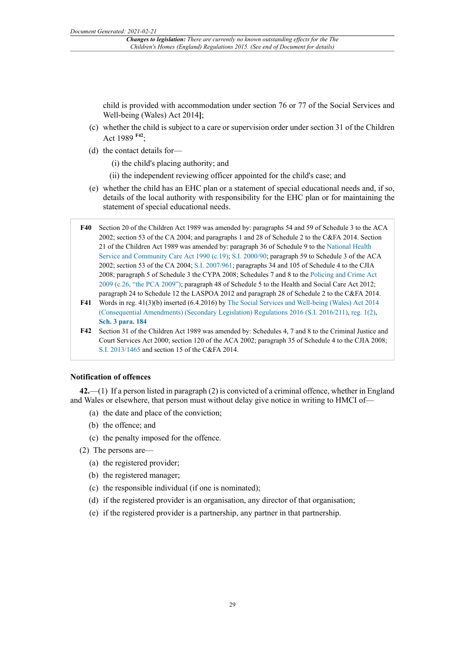child is provided with accommodation under section 76 or 77 of the Social Services and Well-being (Wales) Act 2014**]**;

- (c) whether the child is subject to a care or supervision order under section 31 of the Children Act 1989 **F42**;
- (d) the contact details for—
	- (i) the child's placing authority; and
	- (ii) the independent reviewing officer appointed for the child's case; and
- (e) whether the child has an EHC plan or a statement of special educational needs and, if so, details of the local authority with responsibility for the EHC plan or for maintaining the statement of special educational needs.
- **F40** Section 20 of the Children Act 1989 was amended by: paragraphs 54 and 59 of Schedule 3 to the ACA 2002; section 53 of the CA 2004; and paragraphs 1 and 28 of Schedule 2 to the C&FA 2014. Section 21 of the Children Act 1989 was amended by: paragraph 36 of Schedule 9 to the National Health Service and Community Care Act 1990 (c.19); S.I. 2000/90; paragraph 59 to Schedule 3 of the ACA 2002; section 53 of the CA 2004; S.I. 2007/961; paragraphs 34 and 105 of Schedule 4 to the CJIA 2008; paragraph 5 of Schedule 3 the CYPA 2008; Schedules 7 and 8 to the Policing and Crime Act 2009 (c.26, "the PCA 2009"); paragraph 48 of Schedule 5 to the Health and Social Care Act 2012; paragraph 24 to Schedule 12 the LASPOA 2012 and paragraph 28 of Schedule 2 to the C&FA 2014.
- **F41** Words in reg. 41(3)(b) inserted (6.4.2016) by The Social Services and Well-being (Wales) Act 2014 (Consequential Amendments) (Secondary Legislation) Regulations 2016 (S.I. 2016/211), reg. 1(2), **Sch. 3 para. 184**
- **F42** Section 31 of the Children Act 1989 was amended by: Schedules 4, 7 and 8 to the Criminal Justice and Court Services Act 2000; section 120 of the ACA 2002; paragraph 35 of Schedule 4 to the CJIA 2008; S.I. 2013/1465 and section 15 of the C&FA 2014.

#### **Notification of offences**

**42.**—(1) If a person listed in paragraph (2) is convicted of a criminal offence, whether in England and Wales or elsewhere, that person must without delay give notice in writing to HMCI of—

- (a) the date and place of the conviction;
- (b) the offence; and
- (c) the penalty imposed for the offence.
- (2) The persons are—
	- (a) the registered provider;
	- (b) the registered manager;
	- (c) the responsible individual (if one is nominated);
	- (d) if the registered provider is an organisation, any director of that organisation;
	- (e) if the registered provider is a partnership, any partner in that partnership.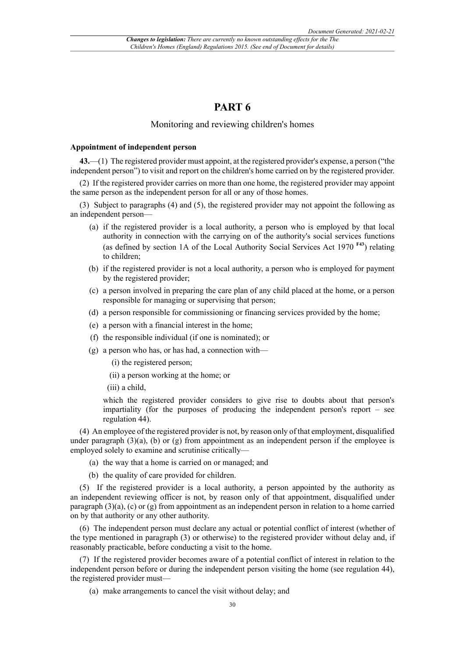### **PART 6**

#### Monitoring and reviewing children's homes

#### **Appointment of independent person**

**43.**—(1) The registered provider must appoint, at the registered provider's expense, a person ("the independent person") to visit and report on the children's home carried on by the registered provider.

(2) If the registered provider carries on more than one home, the registered provider may appoint the same person as the independent person for all or any of those homes.

(3) Subject to paragraphs (4) and (5), the registered provider may not appoint the following as an independent person—

- (a) if the registered provider is a local authority, a person who is employed by that local authority in connection with the carrying on of the authority's social services functions (as defined by section 1A of the Local Authority Social Services Act 1970 **F43**) relating to children;
- (b) if the registered provider is not a local authority, a person who is employed for payment by the registered provider;
- (c) a person involved in preparing the care plan of any child placed at the home, or a person responsible for managing or supervising that person;
- (d) a person responsible for commissioning or financing services provided by the home;
- (e) a person with a financial interest in the home;
- (f) the responsible individual (if one is nominated); or
- (g) a person who has, or has had, a connection with—

(i) the registered person;

- (ii) a person working at the home; or
- (iii) a child,

which the registered provider considers to give rise to doubts about that person's impartiality (for the purposes of producing the independent person's report – see regulation 44).

(4) An employee of the registered provider is not, by reason only of that employment, disqualified under paragraph  $(3)(a)$ , (b) or  $(g)$  from appointment as an independent person if the employee is employed solely to examine and scrutinise critically—

- (a) the way that a home is carried on or managed; and
- (b) the quality of care provided for children.

(5) If the registered provider is a local authority, a person appointed by the authority as an independent reviewing officer is not, by reason only of that appointment, disqualified under paragraph (3)(a), (c) or (g) from appointment as an independent person in relation to a home carried on by that authority or any other authority.

(6) The independent person must declare any actual or potential conflict of interest (whether of the type mentioned in paragraph (3) or otherwise) to the registered provider without delay and, if reasonably practicable, before conducting a visit to the home.

(7) If the registered provider becomes aware of a potential conflict of interest in relation to the independent person before or during the independent person visiting the home (see regulation 44), the registered provider must—

(a) make arrangements to cancel the visit without delay; and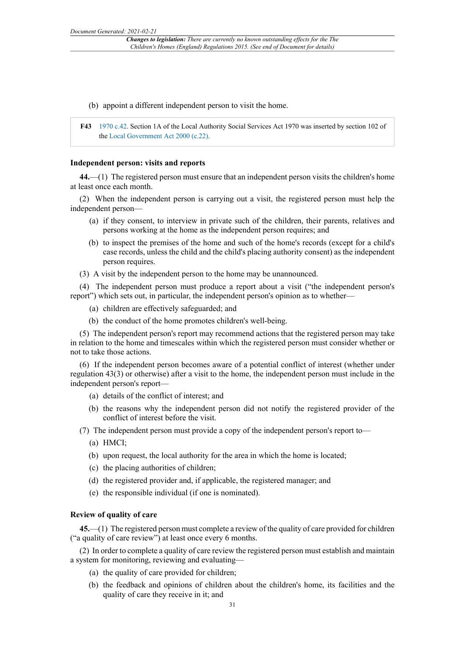- (b) appoint a different independent person to visit the home.
- **F43** 1970 c.42. Section 1A of the Local Authority Social Services Act 1970 was inserted by section 102 of the Local Government Act 2000 (c.22).

#### **Independent person: visits and reports**

**44.**—(1) The registered person must ensure that an independent person visits the children's home at least once each month.

(2) When the independent person is carrying out a visit, the registered person must help the independent person—

- (a) if they consent, to interview in private such of the children, their parents, relatives and persons working at the home as the independent person requires; and
- (b) to inspect the premises of the home and such of the home's records (except for a child's case records, unless the child and the child's placing authority consent) as the independent person requires.
- (3) A visit by the independent person to the home may be unannounced.

(4) The independent person must produce a report about a visit ("the independent person's report") which sets out, in particular, the independent person's opinion as to whether—

- (a) children are effectively safeguarded; and
- (b) the conduct of the home promotes children's well-being.

(5) The independent person's report may recommend actions that the registered person may take in relation to the home and timescales within which the registered person must consider whether or not to take those actions.

(6) If the independent person becomes aware of a potential conflict of interest (whether under regulation 43(3) or otherwise) after a visit to the home, the independent person must include in the independent person's report—

- (a) details of the conflict of interest; and
- (b) the reasons why the independent person did not notify the registered provider of the conflict of interest before the visit.
- (7) The independent person must provide a copy of the independent person's report to—
	- (a) HMCI;
	- (b) upon request, the local authority for the area in which the home is located;
	- (c) the placing authorities of children;
	- (d) the registered provider and, if applicable, the registered manager; and
	- (e) the responsible individual (if one is nominated).

#### **Review of quality of care**

**45.**—(1) The registered person must complete a review of the quality of care provided for children ("a quality of care review") at least once every 6 months.

(2) In order to complete a quality of care review the registered person must establish and maintain a system for monitoring, reviewing and evaluating—

- (a) the quality of care provided for children;
- (b) the feedback and opinions of children about the children's home, its facilities and the quality of care they receive in it; and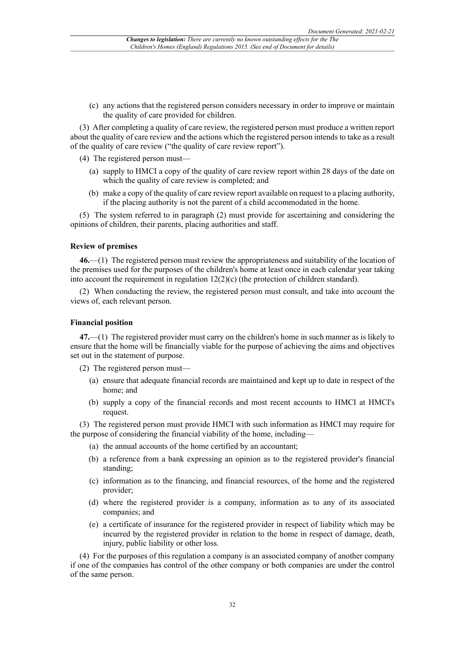(c) any actions that the registered person considers necessary in order to improve or maintain the quality of care provided for children.

(3) After completing a quality of care review, the registered person must produce a written report about the quality of care review and the actions which the registered person intends to take as a result of the quality of care review ("the quality of care review report").

- (4) The registered person must—
	- (a) supply to HMCI a copy of the quality of care review report within 28 days of the date on which the quality of care review is completed; and
	- (b) make a copy of the quality of care review report available on request to a placing authority, if the placing authority is not the parent of a child accommodated in the home.

(5) The system referred to in paragraph (2) must provide for ascertaining and considering the opinions of children, their parents, placing authorities and staff.

#### **Review of premises**

**46.**—(1) The registered person must review the appropriateness and suitability of the location of the premises used for the purposes of the children's home at least once in each calendar year taking into account the requirement in regulation 12(2)(c) (the protection of children standard).

(2) When conducting the review, the registered person must consult, and take into account the views of, each relevant person.

#### **Financial position**

**47.**—(1) The registered provider must carry on the children's home in such manner as is likely to ensure that the home will be financially viable for the purpose of achieving the aims and objectives set out in the statement of purpose.

- (2) The registered person must—
	- (a) ensure that adequate financial records are maintained and kept up to date in respect of the home; and
	- (b) supply a copy of the financial records and most recent accounts to HMCI at HMCI's request.

(3) The registered person must provide HMCI with such information as HMCI may require for the purpose of considering the financial viability of the home, including—

- (a) the annual accounts of the home certified by an accountant;
- (b) a reference from a bank expressing an opinion as to the registered provider's financial standing;
- (c) information as to the financing, and financial resources, of the home and the registered provider;
- (d) where the registered provider is a company, information as to any of its associated companies; and
- (e) a certificate of insurance for the registered provider in respect of liability which may be incurred by the registered provider in relation to the home in respect of damage, death, injury, public liability or other loss.

(4) For the purposes of this regulation a company is an associated company of another company if one of the companies has control of the other company or both companies are under the control of the same person.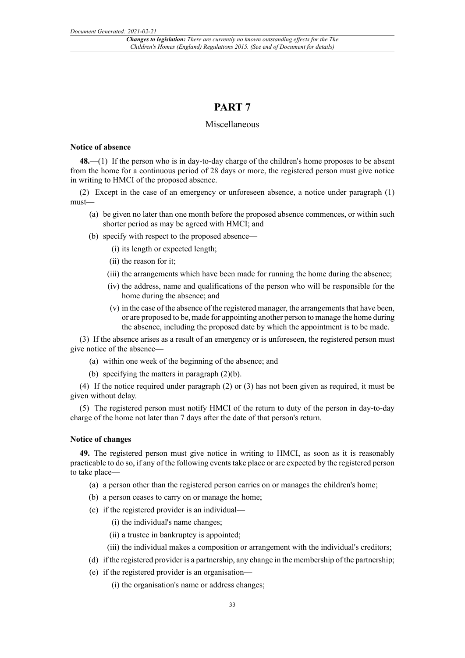### **PART 7**

#### Miscellaneous

#### **Notice of absence**

**48.**—(1) If the person who is in day-to-day charge of the children's home proposes to be absent from the home for a continuous period of 28 days or more, the registered person must give notice in writing to HMCI of the proposed absence.

(2) Except in the case of an emergency or unforeseen absence, a notice under paragraph (1) must—

- (a) be given no later than one month before the proposed absence commences, or within such shorter period as may be agreed with HMCI; and
- (b) specify with respect to the proposed absence—
	- (i) its length or expected length;
	- (ii) the reason for it;
	- (iii) the arrangements which have been made for running the home during the absence;
	- (iv) the address, name and qualifications of the person who will be responsible for the home during the absence; and
	- $(v)$  in the case of the absence of the registered manager, the arrangements that have been, or are proposed to be, made for appointing another person to manage the home during the absence, including the proposed date by which the appointment is to be made.

(3) If the absence arises as a result of an emergency or is unforeseen, the registered person must give notice of the absence—

- (a) within one week of the beginning of the absence; and
- (b) specifying the matters in paragraph (2)(b).

(4) If the notice required under paragraph (2) or (3) has not been given as required, it must be given without delay.

(5) The registered person must notify HMCI of the return to duty of the person in day-to-day charge of the home not later than 7 days after the date of that person's return.

#### **Notice of changes**

**49.** The registered person must give notice in writing to HMCI, as soon as it is reasonably practicable to do so, if any of the following events take place or are expected by the registered person to take place—

- (a) a person other than the registered person carries on or manages the children's home;
- (b) a person ceases to carry on or manage the home;
- (c) if the registered provider is an individual—
	- (i) the individual's name changes;
	- (ii) a trustee in bankruptcy is appointed;
	- (iii) the individual makes a composition or arrangement with the individual's creditors;
- (d) if the registered provider is a partnership, any change in the membership of the partnership;
- (e) if the registered provider is an organisation—
	- (i) the organisation's name or address changes;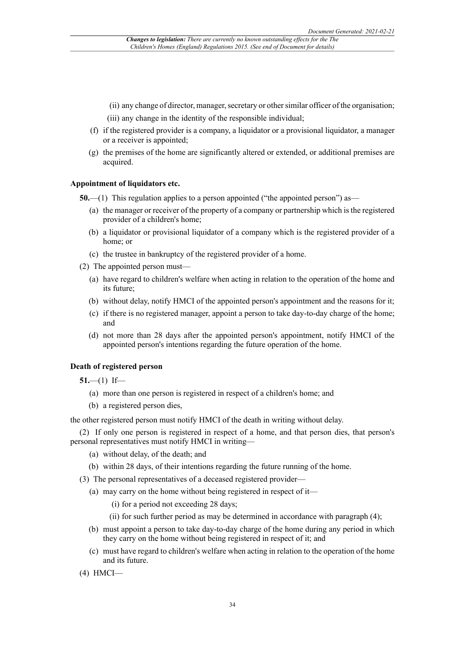- (ii) any change of director, manager, secretary or other similar officer of the organisation;
- (iii) any change in the identity of the responsible individual;
- (f) if the registered provider is a company, a liquidator or a provisional liquidator, a manager or a receiver is appointed;
- (g) the premises of the home are significantly altered or extended, or additional premises are acquired.

#### **Appointment of liquidators etc.**

**50.**—(1) This regulation applies to a person appointed ("the appointed person") as—

- (a) the manager or receiver of the property of a company or partnership which is the registered provider of a children's home;
- (b) a liquidator or provisional liquidator of a company which is the registered provider of a home; or
- (c) the trustee in bankruptcy of the registered provider of a home.
- (2) The appointed person must—
	- (a) have regard to children's welfare when acting in relation to the operation of the home and its future;
	- (b) without delay, notify HMCI of the appointed person's appointment and the reasons for it;
	- (c) if there is no registered manager, appoint a person to take day-to-day charge of the home; and
	- (d) not more than 28 days after the appointed person's appointment, notify HMCI of the appointed person's intentions regarding the future operation of the home.

#### **Death of registered person**

 $51$ —(1) If—

- (a) more than one person is registered in respect of a children's home; and
- (b) a registered person dies,

the other registered person must notify HMCI of the death in writing without delay.

(2) If only one person is registered in respect of a home, and that person dies, that person's personal representatives must notify HMCI in writing—

- (a) without delay, of the death; and
- (b) within 28 days, of their intentions regarding the future running of the home.
- (3) The personal representatives of a deceased registered provider—
	- (a) may carry on the home without being registered in respect of it—
		- (i) for a period not exceeding 28 days;
		- (ii) for such further period as may be determined in accordance with paragraph (4);
	- (b) must appoint a person to take day-to-day charge of the home during any period in which they carry on the home without being registered in respect of it; and
	- (c) must have regard to children's welfare when acting in relation to the operation of the home and its future.
- (4) HMCI—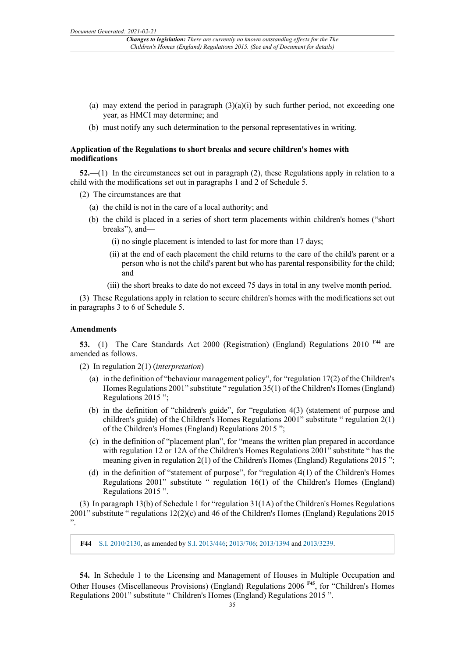- (a) may extend the period in paragraph  $(3)(a)(i)$  by such further period, not exceeding one year, as HMCI may determine; and
- (b) must notify any such determination to the personal representatives in writing.

#### **Application of the Regulations to short breaks and secure children's homes with modifications**

**52.**—(1) In the circumstances set out in paragraph (2), these Regulations apply in relation to a child with the modifications set out in paragraphs 1 and 2 of Schedule 5.

(2) The circumstances are that—

- (a) the child is not in the care of a local authority; and
- (b) the child is placed in a series of short term placements within children's homes ("short breaks"), and—
	- (i) no single placement is intended to last for more than 17 days;
	- (ii) at the end of each placement the child returns to the care of the child's parent or a person who is not the child's parent but who has parental responsibility for the child; and
	- (iii) the short breaks to date do not exceed 75 days in total in any twelve month period.

(3) These Regulations apply in relation to secure children's homes with the modifications set out in paragraphs 3 to 6 of Schedule 5.

#### **Amendments**

**53.**—(1) The Care Standards Act 2000 (Registration) (England) Regulations 2010 **F44** are amended as follows.

(2) In regulation 2(1) (*interpretation*)—

- (a) in the definition of "behaviour management policy", for "regulation 17(2) of the Children's Homes Regulations 2001" substitute " regulation 35(1) of the Children's Homes (England) Regulations 2015 ";
- (b) in the definition of "children's guide", for "regulation 4(3) (statement of purpose and children's guide) of the Children's Homes Regulations 2001" substitute " regulation 2(1) of the Children's Homes (England) Regulations 2015 ";
- (c) in the definition of "placement plan", for "means the written plan prepared in accordance with regulation 12 or 12A of the Children's Homes Regulations 2001" substitute " has the meaning given in regulation 2(1) of the Children's Homes (England) Regulations 2015 ";
- (d) in the definition of "statement of purpose", for "regulation 4(1) of the Children's Homes Regulations 2001" substitute " regulation 16(1) of the Children's Homes (England) Regulations 2015 ".

(3) In paragraph 13(b) of Schedule 1 for "regulation 31(1A) of the Children's Homes Regulations 2001" substitute " regulations 12(2)(c) and 46 of the Children's Homes (England) Regulations 2015 ".

**F44** S.I. 2010/2130, as amended by S.I. 2013/446; 2013/706; 2013/1394 and 2013/3239.

**54.** In Schedule 1 to the Licensing and Management of Houses in Multiple Occupation and Other Houses (Miscellaneous Provisions) (England) Regulations 2006 **F45**, for "Children's Homes Regulations 2001" substitute " Children's Homes (England) Regulations 2015 ".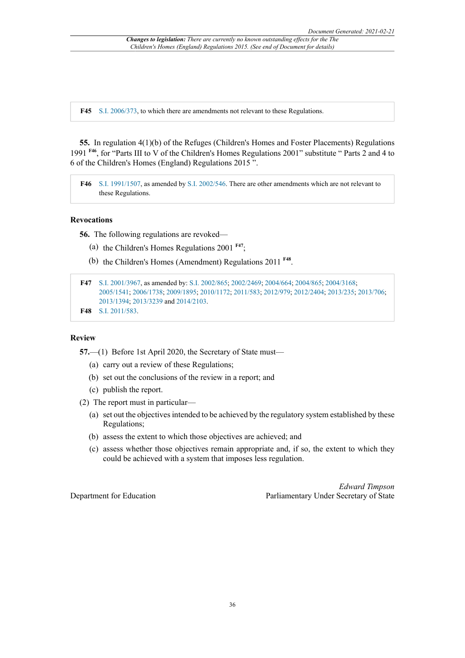**F45** S.I. 2006/373, to which there are amendments not relevant to these Regulations.

**55.** In regulation 4(1)(b) of the Refuges (Children's Homes and Foster Placements) Regulations 1991 **F46**, for "Parts III to V of the Children's Homes Regulations 2001" substitute " Parts 2 and 4 to 6 of the Children's Homes (England) Regulations 2015 ".

**F46** S.I. 1991/1507, as amended by S.I. 2002/546. There are other amendments which are not relevant to these Regulations.

#### **Revocations**

**56.** The following regulations are revoked—

- (a) the Children's Homes Regulations 2001 **F47**;
- (b) the Children's Homes (Amendment) Regulations 2011 **F48** .

```
F47 S.I. 2001/3967, as amended by: S.I. 2002/865; 2002/2469; 2004/664; 2004/865; 2004/3168;
2005/1541; 2006/1738; 2009/1895; 2010/1172; 2011/583; 2012/979; 2012/2404; 2013/235; 2013/706;
2013/1394; 2013/3239 and 2014/2103.
```

```
F48 S.I. 2011/583.
```
#### **Review**

**57.**—(1) Before 1st April 2020, the Secretary of State must—

- (a) carry out a review of these Regulations;
- (b) set out the conclusions of the review in a report; and
- (c) publish the report.
- (2) The report must in particular—
	- (a) set out the objectives intended to be achieved by the regulatory system established by these Regulations;
	- (b) assess the extent to which those objectives are achieved; and
	- (c) assess whether those objectives remain appropriate and, if so, the extent to which they could be achieved with a system that imposes less regulation.

Department for Education

*Edward Timpson* Parliamentary Under Secretary of State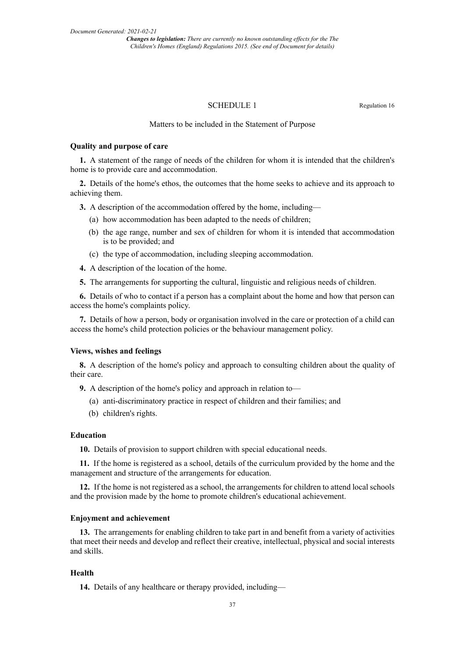*Changes to legislation: There are currently no known outstanding effects for the The Children's Homes (England) Regulations 2015. (See end of Document for details)*

#### SCHEDULE 1 Regulation 16

#### Matters to be included in the Statement of Purpose

#### **Quality and purpose of care**

**1.** A statement of the range of needs of the children for whom it is intended that the children's home is to provide care and accommodation.

**2.** Details of the home's ethos, the outcomes that the home seeks to achieve and its approach to achieving them.

**3.** A description of the accommodation offered by the home, including—

- (a) how accommodation has been adapted to the needs of children;
- (b) the age range, number and sex of children for whom it is intended that accommodation is to be provided; and
- (c) the type of accommodation, including sleeping accommodation.
- **4.** A description of the location of the home.
- **5.** The arrangements for supporting the cultural, linguistic and religious needs of children.

**6.** Details of who to contact if a person has a complaint about the home and how that person can access the home's complaints policy.

**7.** Details of how a person, body or organisation involved in the care or protection of a child can access the home's child protection policies or the behaviour management policy.

#### **Views, wishes and feelings**

**8.** A description of the home's policy and approach to consulting children about the quality of their care.

**9.** A description of the home's policy and approach in relation to—

- (a) anti-discriminatory practice in respect of children and their families; and
- (b) children's rights.

#### **Education**

**10.** Details of provision to support children with special educational needs.

**11.** If the home is registered as a school, details of the curriculum provided by the home and the management and structure of the arrangements for education.

**12.** If the home is not registered as a school, the arrangements for children to attend local schools and the provision made by the home to promote children's educational achievement.

#### **Enjoyment and achievement**

**13.** The arrangements for enabling children to take part in and benefit from a variety of activities that meet their needs and develop and reflect their creative, intellectual, physical and social interests and skills.

#### **Health**

**14.** Details of any healthcare or therapy provided, including—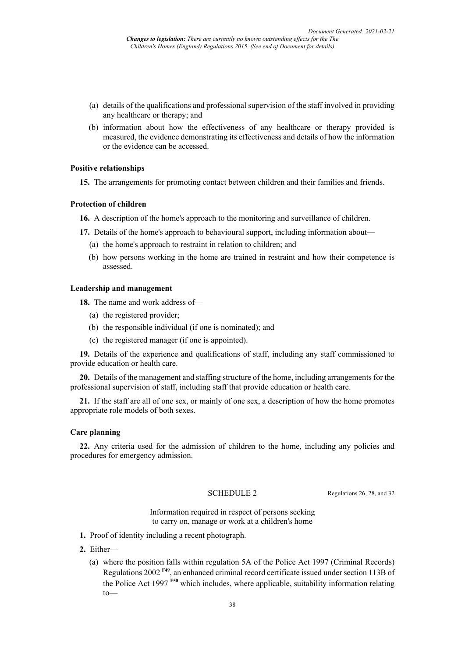- (a) details of the qualifications and professional supervision of the staff involved in providing any healthcare or therapy; and
- (b) information about how the effectiveness of any healthcare or therapy provided is measured, the evidence demonstrating its effectiveness and details of how the information or the evidence can be accessed.

#### **Positive relationships**

**15.** The arrangements for promoting contact between children and their families and friends.

#### **Protection of children**

- **16.** A description of the home's approach to the monitoring and surveillance of children.
- **17.** Details of the home's approach to behavioural support, including information about—
	- (a) the home's approach to restraint in relation to children; and
	- (b) how persons working in the home are trained in restraint and how their competence is assessed.

#### **Leadership and management**

**18.** The name and work address of—

- (a) the registered provider;
- (b) the responsible individual (if one is nominated); and
- (c) the registered manager (if one is appointed).

**19.** Details of the experience and qualifications of staff, including any staff commissioned to provide education or health care.

**20.** Details of the management and staffing structure of the home, including arrangements for the professional supervision of staff, including staff that provide education or health care.

**21.** If the staff are all of one sex, or mainly of one sex, a description of how the home promotes appropriate role models of both sexes.

#### **Care planning**

**22.** Any criteria used for the admission of children to the home, including any policies and procedures for emergency admission.

SCHEDULE 2 Regulations 26, 28, and 32

Information required in respect of persons seeking to carry on, manage or work at a children's home

- **1.** Proof of identity including a recent photograph.
- **2.** Either—
	- (a) where the position falls within regulation 5A of the Police Act 1997 (Criminal Records) Regulations 2002 **F49** , an enhanced criminal record certificate issued under section 113B of the Police Act 1997 **F50** which includes, where applicable, suitability information relating to—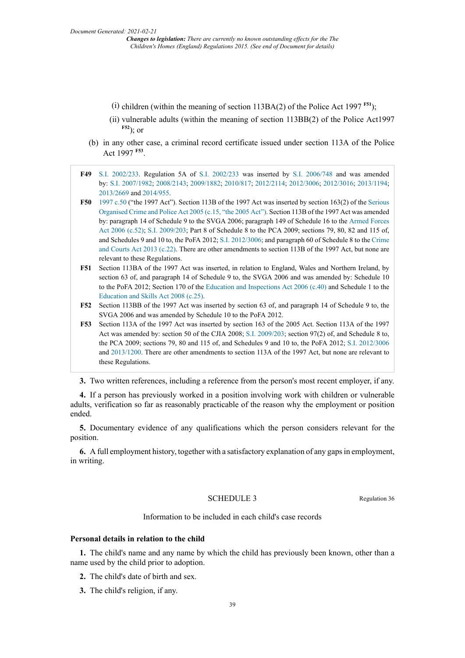- $(i)$  children (within the meaning of section 113BA(2) of the Police Act 1997  $F51$ );
- (ii) vulnerable adults (within the meaning of section 113BB(2) of the Police Act1997 **F52**); or
- (b) in any other case, a criminal record certificate issued under section 113A of the Police Act 1997 **F53** .
- **F49** S.I. 2002/233. Regulation 5A of S.I. 2002/233 was inserted by S.I. 2006/748 and was amended by: S.I. 2007/1982; 2008/2143; 2009/1882; 2010/817; 2012/2114; 2012/3006; 2012/3016; 2013/1194; 2013/2669 and 2014/955.
- **F50** 1997 c.50 ("the 1997 Act"). Section 113B of the 1997 Act was inserted by section 163(2) of the Serious Organised Crime and Police Act 2005 (c.15, "the 2005 Act"). Section 113B of the 1997 Act was amended by: paragraph 14 of Schedule 9 to the SVGA 2006; paragraph 149 of Schedule 16 to the Armed Forces Act 2006 (c.52); S.I. 2009/203; Part 8 of Schedule 8 to the PCA 2009; sections 79, 80, 82 and 115 of, and Schedules 9 and 10 to, the PoFA 2012; S.I. 2012/3006; and paragraph 60 of Schedule 8 to the Crime and Courts Act 2013 (c.22). There are other amendments to section 113B of the 1997 Act, but none are relevant to these Regulations.
- **F51** Section 113BA of the 1997 Act was inserted, in relation to England, Wales and Northern Ireland, by section 63 of, and paragraph 14 of Schedule 9 to, the SVGA 2006 and was amended by: Schedule 10 to the PoFA 2012; Section 170 of the Education and Inspections Act 2006 (c.40) and Schedule 1 to the Education and Skills Act 2008 (c.25).
- **F52** Section 113BB of the 1997 Act was inserted by section 63 of, and paragraph 14 of Schedule 9 to, the SVGA 2006 and was amended by Schedule 10 to the PoFA 2012.
- **F53** Section 113A of the 1997 Act was inserted by section 163 of the 2005 Act. Section 113A of the 1997 Act was amended by: section 50 of the CJIA 2008; S.I. 2009/203; section 97(2) of, and Schedule 8 to, the PCA 2009; sections 79, 80 and 115 of, and Schedules 9 and 10 to, the PoFA 2012; S.I. 2012/3006 and 2013/1200. There are other amendments to section 113A of the 1997 Act, but none are relevant to these Regulations.

**3.** Two written references, including a reference from the person's most recent employer, if any.

**4.** If a person has previously worked in a position involving work with children or vulnerable adults, verification so far as reasonably practicable of the reason why the employment or position ended.

**5.** Documentary evidence of any qualifications which the person considers relevant for the position.

**6.** A full employment history, together with a satisfactory explanation of any gaps in employment, in writing.

#### SCHEDULE 3 Regulation 36

Information to be included in each child's case records

#### **Personal details in relation to the child**

**1.** The child's name and any name by which the child has previously been known, other than a name used by the child prior to adoption.

- **2.** The child's date of birth and sex.
- **3.** The child's religion, if any.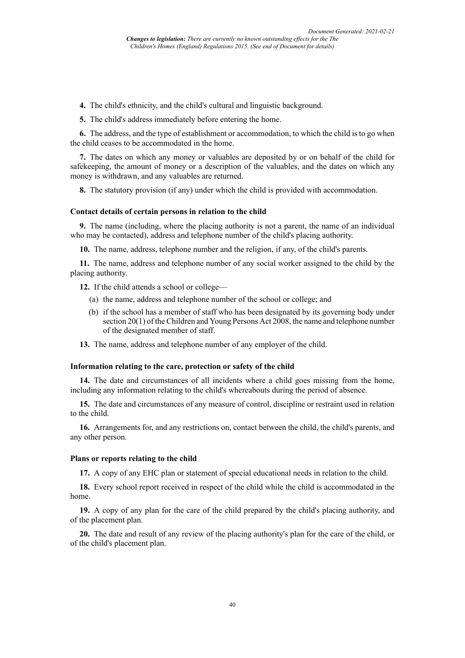- **4.** The child's ethnicity, and the child's cultural and linguistic background.
- **5.** The child's address immediately before entering the home.

**6.** The address, and the type of establishment or accommodation, to which the child is to go when the child ceases to be accommodated in the home.

**7.** The dates on which any money or valuables are deposited by or on behalf of the child for safekeeping, the amount of money or a description of the valuables, and the dates on which any money is withdrawn, and any valuables are returned.

**8.** The statutory provision (if any) under which the child is provided with accommodation.

#### **Contact details of certain persons in relation to the child**

**9.** The name (including, where the placing authority is not a parent, the name of an individual who may be contacted), address and telephone number of the child's placing authority.

**10.** The name, address, telephone number and the religion, if any, of the child's parents.

**11.** The name, address and telephone number of any social worker assigned to the child by the placing authority.

**12.** If the child attends a school or college—

- (a) the name, address and telephone number of the school or college; and
- (b) if the school has a member of staff who has been designated by its governing body under section 20(1) of the Children and Young Persons Act 2008, the name and telephone number of the designated member of staff.
- **13.** The name, address and telephone number of any employer of the child.

#### **Information relating to the care, protection or safety of the child**

**14.** The date and circumstances of all incidents where a child goes missing from the home, including any information relating to the child's whereabouts during the period of absence.

**15.** The date and circumstances of any measure of control, discipline or restraint used in relation to the child.

**16.** Arrangements for, and any restrictions on, contact between the child, the child's parents, and any other person.

#### **Plans or reports relating to the child**

**17.** A copy of any EHC plan or statement of special educational needs in relation to the child.

**18.** Every school report received in respect of the child while the child is accommodated in the home.

**19.** A copy of any plan for the care of the child prepared by the child's placing authority, and of the placement plan.

**20.** The date and result of any review of the placing authority's plan for the care of the child, or of the child's placement plan.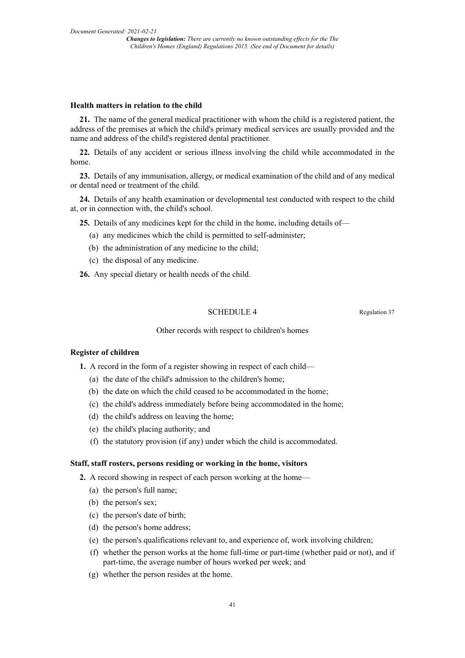#### **Health matters in relation to the child**

**21.** The name of the general medical practitioner with whom the child is a registered patient, the address of the premises at which the child's primary medical services are usually provided and the name and address of the child's registered dental practitioner.

**22.** Details of any accident or serious illness involving the child while accommodated in the home.

**23.** Details of any immunisation, allergy, or medical examination of the child and of any medical or dental need or treatment of the child.

**24.** Details of any health examination or developmental test conducted with respect to the child at, or in connection with, the child's school.

**25.** Details of any medicines kept for the child in the home, including details of—

- (a) any medicines which the child is permitted to self-administer;
- (b) the administration of any medicine to the child;
- (c) the disposal of any medicine.

**26.** Any special dietary or health needs of the child.

#### SCHEDULE 4 Regulation 37

#### Other records with respect to children's homes

#### **Register of children**

- **1.** A record in the form of a register showing in respect of each child—
	- (a) the date of the child's admission to the children's home;
	- (b) the date on which the child ceased to be accommodated in the home;
	- (c) the child's address immediately before being accommodated in the home;
	- (d) the child's address on leaving the home;
	- (e) the child's placing authority; and
	- (f) the statutory provision (if any) under which the child is accommodated.

#### **Staff, staff rosters, persons residing or working in the home, visitors**

- **2.** A record showing in respect of each person working at the home—
	- (a) the person's full name;
	- (b) the person's sex;
	- (c) the person's date of birth;
	- (d) the person's home address;
	- (e) the person's qualifications relevant to, and experience of, work involving children;
	- (f) whether the person works at the home full-time or part-time (whether paid or not), and if part-time, the average number of hours worked per week; and
	- (g) whether the person resides at the home.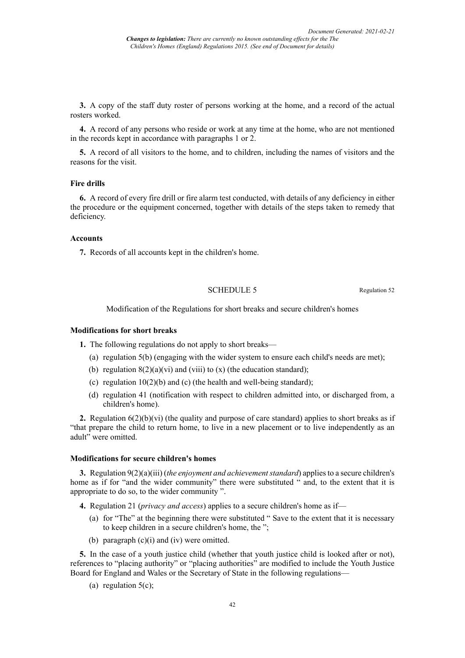**3.** A copy of the staff duty roster of persons working at the home, and a record of the actual rosters worked.

**4.** A record of any persons who reside or work at any time at the home, who are not mentioned in the records kept in accordance with paragraphs 1 or 2.

**5.** A record of all visitors to the home, and to children, including the names of visitors and the reasons for the visit.

#### **Fire drills**

**6.** A record of every fire drill or fire alarm test conducted, with details of any deficiency in either the procedure or the equipment concerned, together with details of the steps taken to remedy that deficiency.

#### **Accounts**

**7.** Records of all accounts kept in the children's home.

#### SCHEDULE 5 Regulation 52

Modification of the Regulations for short breaks and secure children's homes

#### **Modifications for short breaks**

**1.** The following regulations do not apply to short breaks—

- (a) regulation 5(b) (engaging with the wider system to ensure each child's needs are met);
- (b) regulation  $8(2)(a)(vi)$  and (viii) to (x) (the education standard);
- (c) regulation  $10(2)(b)$  and (c) (the health and well-being standard);
- (d) regulation 41 (notification with respect to children admitted into, or discharged from, a children's home).

**2.** Regulation  $6(2)(b)(vi)$  (the quality and purpose of care standard) applies to short breaks as if "that prepare the child to return home, to live in a new placement or to live independently as an adult" were omitted.

#### **Modifications for secure children's homes**

**3.** Regulation 9(2)(a)(iii) (*the enjoyment and achievementstandard*) applies to a secure children's home as if for "and the wider community" there were substituted " and, to the extent that it is appropriate to do so, to the wider community ".

**4.** Regulation 21 (*privacy and access*) applies to a secure children's home as if—

- (a) for "The" at the beginning there were substituted " Save to the extent that it is necessary to keep children in a secure children's home, the ";
- (b) paragraph  $(c)(i)$  and  $(iv)$  were omitted.

**5.** In the case of a youth justice child (whether that youth justice child is looked after or not), references to "placing authority" or "placing authorities" are modified to include the Youth Justice Board for England and Wales or the Secretary of State in the following regulations—

(a) regulation  $5(c)$ ;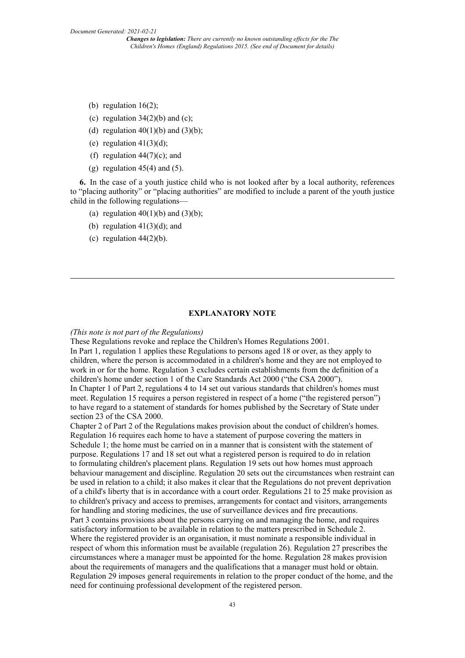- (b) regulation  $16(2)$ ;
- (c) regulation  $34(2)(b)$  and (c);
- (d) regulation  $40(1)(b)$  and  $(3)(b)$ ;
- (e) regulation  $41(3)(d)$ ;
- (f) regulation  $44(7)(c)$ ; and
- (g) regulation  $45(4)$  and  $(5)$ .

**6.** In the case of a youth justice child who is not looked after by a local authority, references to "placing authority" or "placing authorities" are modified to include a parent of the youth justice child in the following regulations—

- (a) regulation  $40(1)(b)$  and  $(3)(b)$ ;
- (b) regulation  $41(3)(d)$ ; and
- (c) regulation  $44(2)(b)$ .

#### **EXPLANATORY NOTE**

#### *(This note is not part of the Regulations)*

These Regulations revoke and replace the Children's Homes Regulations 2001.

In Part 1, regulation 1 applies these Regulations to persons aged 18 or over, as they apply to children, where the person is accommodated in a children's home and they are not employed to work in or for the home. Regulation 3 excludes certain establishments from the definition of a children's home under section 1 of the Care Standards Act 2000 ("the CSA 2000").

In Chapter 1 of Part 2, regulations 4 to 14 set out various standards that children's homes must meet. Regulation 15 requires a person registered in respect of a home ("the registered person") to have regard to a statement of standards for homes published by the Secretary of State under section 23 of the CSA 2000.

Chapter 2 of Part 2 of the Regulations makes provision about the conduct of children's homes. Regulation 16 requires each home to have a statement of purpose covering the matters in Schedule 1; the home must be carried on in a manner that is consistent with the statement of purpose. Regulations 17 and 18 set out what a registered person is required to do in relation to formulating children's placement plans. Regulation 19 sets out how homes must approach behaviour management and discipline. Regulation 20 sets out the circumstances when restraint can be used in relation to a child; it also makes it clear that the Regulations do not prevent deprivation of a child's liberty that is in accordance with a court order. Regulations 21 to 25 make provision as to children's privacy and access to premises, arrangements for contact and visitors, arrangements for handling and storing medicines, the use of surveillance devices and fire precautions. Part 3 contains provisions about the persons carrying on and managing the home, and requires satisfactory information to be available in relation to the matters prescribed in Schedule 2. Where the registered provider is an organisation, it must nominate a responsible individual in respect of whom this information must be available (regulation 26). Regulation 27 prescribes the circumstances where a manager must be appointed for the home. Regulation 28 makes provision about the requirements of managers and the qualifications that a manager must hold or obtain. Regulation 29 imposes general requirements in relation to the proper conduct of the home, and the need for continuing professional development of the registered person.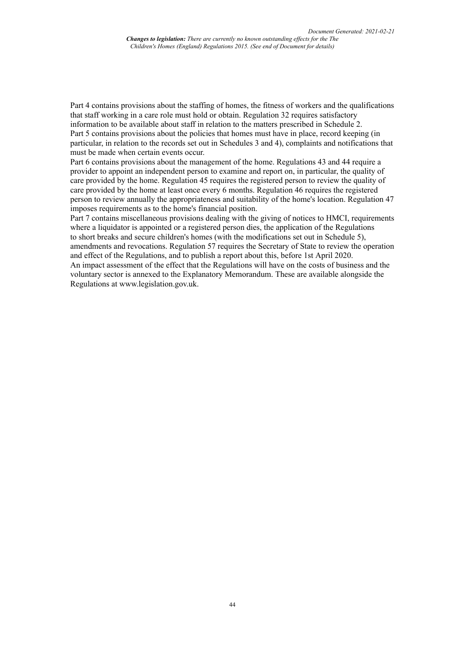Part 4 contains provisions about the staffing of homes, the fitness of workers and the qualifications that staff working in a care role must hold or obtain. Regulation 32 requires satisfactory information to be available about staff in relation to the matters prescribed in Schedule 2. Part 5 contains provisions about the policies that homes must have in place, record keeping (in particular, in relation to the records set out in Schedules 3 and 4), complaints and notifications that must be made when certain events occur.

Part 6 contains provisions about the management of the home. Regulations 43 and 44 require a provider to appoint an independent person to examine and report on, in particular, the quality of care provided by the home. Regulation 45 requires the registered person to review the quality of care provided by the home at least once every 6 months. Regulation 46 requires the registered person to review annually the appropriateness and suitability of the home's location. Regulation 47 imposes requirements as to the home's financial position.

Part 7 contains miscellaneous provisions dealing with the giving of notices to HMCI, requirements where a liquidator is appointed or a registered person dies, the application of the Regulations to short breaks and secure children's homes (with the modifications set out in Schedule 5), amendments and revocations. Regulation 57 requires the Secretary of State to review the operation and effect of the Regulations, and to publish a report about this, before 1st April 2020.

An impact assessment of the effect that the Regulations will have on the costs of business and the voluntary sector is annexed to the Explanatory Memorandum. These are available alongside the Regulations at www.legislation.gov.uk.